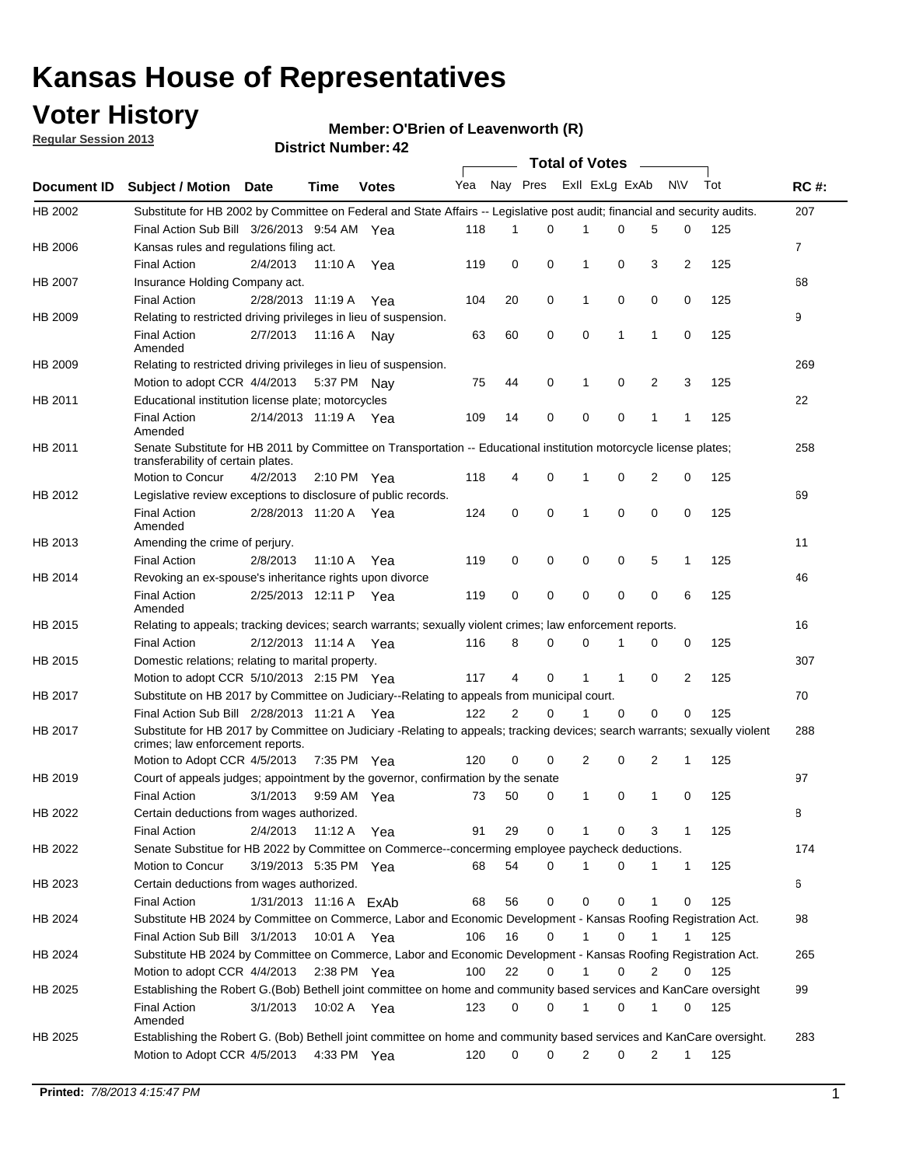## **Voter History**

**Regular Session 2013**

#### **O'Brien of Leavenworth (R)**

|                    |                                                                                                                                                                |                        |         | DISTRICT NUMBER: 42 |     |             |             | Total of Votes – |             |   |              |     |                |
|--------------------|----------------------------------------------------------------------------------------------------------------------------------------------------------------|------------------------|---------|---------------------|-----|-------------|-------------|------------------|-------------|---|--------------|-----|----------------|
| <b>Document ID</b> | <b>Subject / Motion</b>                                                                                                                                        | Date                   | Time    | <b>Votes</b>        | Yea | Nay Pres    |             | Exll ExLg ExAb   |             |   | <b>NV</b>    | Tot | <b>RC#:</b>    |
| HB 2002            | Substitute for HB 2002 by Committee on Federal and State Affairs -- Legislative post audit; financial and security audits.                                     |                        |         |                     |     |             |             |                  |             |   |              |     | 207            |
|                    | Final Action Sub Bill 3/26/2013 9:54 AM Yea                                                                                                                    |                        |         |                     | 118 | 1           | 0           |                  | 0           | 5 | 0            | 125 |                |
| HB 2006            | Kansas rules and regulations filing act.                                                                                                                       |                        |         |                     |     |             |             |                  |             |   |              |     | $\overline{7}$ |
|                    | <b>Final Action</b>                                                                                                                                            | 2/4/2013               | 11:10 A | Yea                 | 119 | 0           | 0           | 1                | 0           | 3 | 2            | 125 |                |
| HB 2007            | Insurance Holding Company act.                                                                                                                                 |                        |         |                     |     |             |             |                  |             |   |              |     | 68             |
|                    | <b>Final Action</b>                                                                                                                                            | 2/28/2013 11:19 A      |         | Yea                 | 104 | 20          | 0           | 1                | 0           | 0 | 0            | 125 |                |
| HB 2009            | Relating to restricted driving privileges in lieu of suspension.                                                                                               |                        |         |                     |     |             |             |                  |             |   |              |     | 9              |
|                    | <b>Final Action</b><br>Amended                                                                                                                                 | 2/7/2013               | 11:16 A | Nav                 | 63  | 60          | 0           | 0                | 1           | 1 | 0            | 125 |                |
| HB 2009            | Relating to restricted driving privileges in lieu of suspension.                                                                                               |                        |         |                     |     |             |             |                  |             |   |              |     | 269            |
|                    | Motion to adopt CCR 4/4/2013                                                                                                                                   |                        | 5:37 PM | Nav                 | 75  | 44          | 0           | 1                | 0           | 2 | 3            | 125 |                |
| HB 2011            | Educational institution license plate; motorcycles                                                                                                             |                        |         |                     |     |             |             |                  |             |   |              |     | 22             |
|                    | <b>Final Action</b><br>Amended                                                                                                                                 | 2/14/2013 11:19 A      |         | Yea                 | 109 | 14          | 0           | 0                | 0           | 1 | 1            | 125 |                |
| HB 2011            | Senate Substitute for HB 2011 by Committee on Transportation -- Educational institution motorcycle license plates;                                             |                        |         |                     |     |             |             |                  |             |   |              |     | 258            |
|                    | transferability of certain plates.                                                                                                                             |                        |         |                     |     |             |             |                  |             |   |              |     |                |
|                    | Motion to Concur                                                                                                                                               | 4/2/2013               |         | 2:10 PM Yea         | 118 | 4           | 0           | 1                | 0           | 2 | 0            | 125 |                |
| HB 2012            | Legislative review exceptions to disclosure of public records.                                                                                                 |                        |         |                     |     |             |             |                  |             |   |              |     | 69             |
|                    | <b>Final Action</b><br>Amended                                                                                                                                 | 2/28/2013 11:20 A Yea  |         |                     | 124 | 0           | 0           | 1                | $\mathbf 0$ | 0 | 0            | 125 |                |
| HB 2013            | Amending the crime of perjury.                                                                                                                                 |                        |         |                     |     |             |             |                  |             |   |              |     | 11             |
|                    | <b>Final Action</b>                                                                                                                                            | 2/8/2013               | 11:10 A | Yea                 | 119 | 0           | 0           | 0                | 0           | 5 | $\mathbf 1$  | 125 |                |
| HB 2014            | Revoking an ex-spouse's inheritance rights upon divorce                                                                                                        |                        |         |                     |     |             |             |                  |             |   |              |     | 46             |
|                    | <b>Final Action</b><br>Amended                                                                                                                                 | 2/25/2013 12:11 P      |         | Yea                 | 119 | $\mathbf 0$ | $\mathbf 0$ | 0                | 0           | 0 | 6            | 125 |                |
| HB 2015            | Relating to appeals; tracking devices; search warrants; sexually violent crimes; law enforcement reports.                                                      |                        |         |                     |     |             |             |                  |             |   |              |     | 16             |
|                    | <b>Final Action</b>                                                                                                                                            | 2/12/2013 11:14 A      |         | Yea                 | 116 | 8           | 0           | 0                | 1           | 0 | 0            | 125 |                |
| HB 2015            | Domestic relations; relating to marital property.                                                                                                              |                        |         |                     |     |             |             |                  |             |   |              |     | 307            |
|                    | Motion to adopt CCR 5/10/2013 2:15 PM Yea                                                                                                                      |                        |         |                     | 117 | 4           | 0           | $\mathbf 1$      | $\mathbf 1$ | 0 | 2            | 125 |                |
| HB 2017            | Substitute on HB 2017 by Committee on Judiciary--Relating to appeals from municipal court.                                                                     |                        |         |                     |     |             |             |                  |             |   |              |     | 70             |
|                    | Final Action Sub Bill 2/28/2013 11:21 A Yea                                                                                                                    |                        |         |                     | 122 | 2           | 0           | 1                | 0           | 0 | 0            | 125 |                |
| HB 2017            | Substitute for HB 2017 by Committee on Judiciary -Relating to appeals; tracking devices; search warrants; sexually violent<br>crimes; law enforcement reports. |                        |         |                     |     |             |             |                  |             |   |              |     | 288            |
|                    | Motion to Adopt CCR 4/5/2013                                                                                                                                   |                        |         | 7:35 PM Yea         | 120 | 0           | 0           | 2                | 0           | 2 | 1            | 125 |                |
| HB 2019            | Court of appeals judges; appointment by the governor, confirmation by the senate                                                                               |                        |         |                     |     |             |             |                  |             |   |              |     | 97             |
|                    | <b>Final Action</b>                                                                                                                                            | 3/1/2013               |         | 9:59 AM Yea         | 73  | 50          | 0           | 1                | 0           | 1 | 0            | 125 |                |
| HB 2022            | Certain deductions from wages authorized.                                                                                                                      |                        |         |                     |     |             |             |                  |             |   |              |     | В              |
|                    | <b>Final Action</b>                                                                                                                                            | 2/4/2013               | 11:12 A | Yea                 | 91  | 29          | 0           | 1                | 0           | 3 | 1            | 125 |                |
| HB 2022            | Senate Substitue for HB 2022 by Committee on Commerce--concerming employee paycheck deductions.                                                                |                        |         |                     |     |             |             |                  |             |   |              |     | 174            |
|                    | Motion to Concur                                                                                                                                               | 3/19/2013 5:35 PM Yea  |         |                     | 68  | 54          | 0           | 1                | 0           | 1 | $\mathbf{1}$ | 125 |                |
| HB 2023            | Certain deductions from wages authorized.                                                                                                                      |                        |         |                     |     |             |             |                  |             |   |              |     | 6              |
|                    | <b>Final Action</b>                                                                                                                                            | 1/31/2013 11:16 A ExAb |         |                     | 68  | 56          | 0           | 0                | 0           | 1 | 0            | 125 |                |
| HB 2024            | Substitute HB 2024 by Committee on Commerce, Labor and Economic Development - Kansas Roofing Registration Act.                                                 |                        |         |                     |     |             |             |                  |             |   |              |     | 98             |
|                    | Final Action Sub Bill 3/1/2013                                                                                                                                 |                        | 10:01 A | Yea                 | 106 | 16          | 0           | 1                | 0           | 1 | 1            | 125 |                |
| HB 2024            | Substitute HB 2024 by Committee on Commerce, Labor and Economic Development - Kansas Roofing Registration Act.                                                 |                        |         |                     |     |             |             |                  |             |   |              |     | 265            |
|                    | Motion to adopt CCR 4/4/2013                                                                                                                                   |                        |         | $2:38$ PM Yea       | 100 | 22          | 0           | 1                | 0           | 2 | 0            | 125 |                |
| HB 2025            | Establishing the Robert G.(Bob) Bethell joint committee on home and community based services and KanCare oversight                                             |                        |         |                     |     |             |             |                  |             |   |              |     | 99             |
|                    | <b>Final Action</b><br>Amended                                                                                                                                 | 3/1/2013               |         | 10:02 A Yea         | 123 | 0           | 0           | 1                | 0           | 1 | 0            | 125 |                |
| HB 2025            | Establishing the Robert G. (Bob) Bethell joint committee on home and community based services and KanCare oversight.<br>Motion to Adopt CCR 4/5/2013           |                        |         | 4:33 PM Yea         | 120 | 0           | 0           | 2                | 0           | 2 | $\mathbf{1}$ | 125 | 283            |
|                    |                                                                                                                                                                |                        |         |                     |     |             |             |                  |             |   |              |     |                |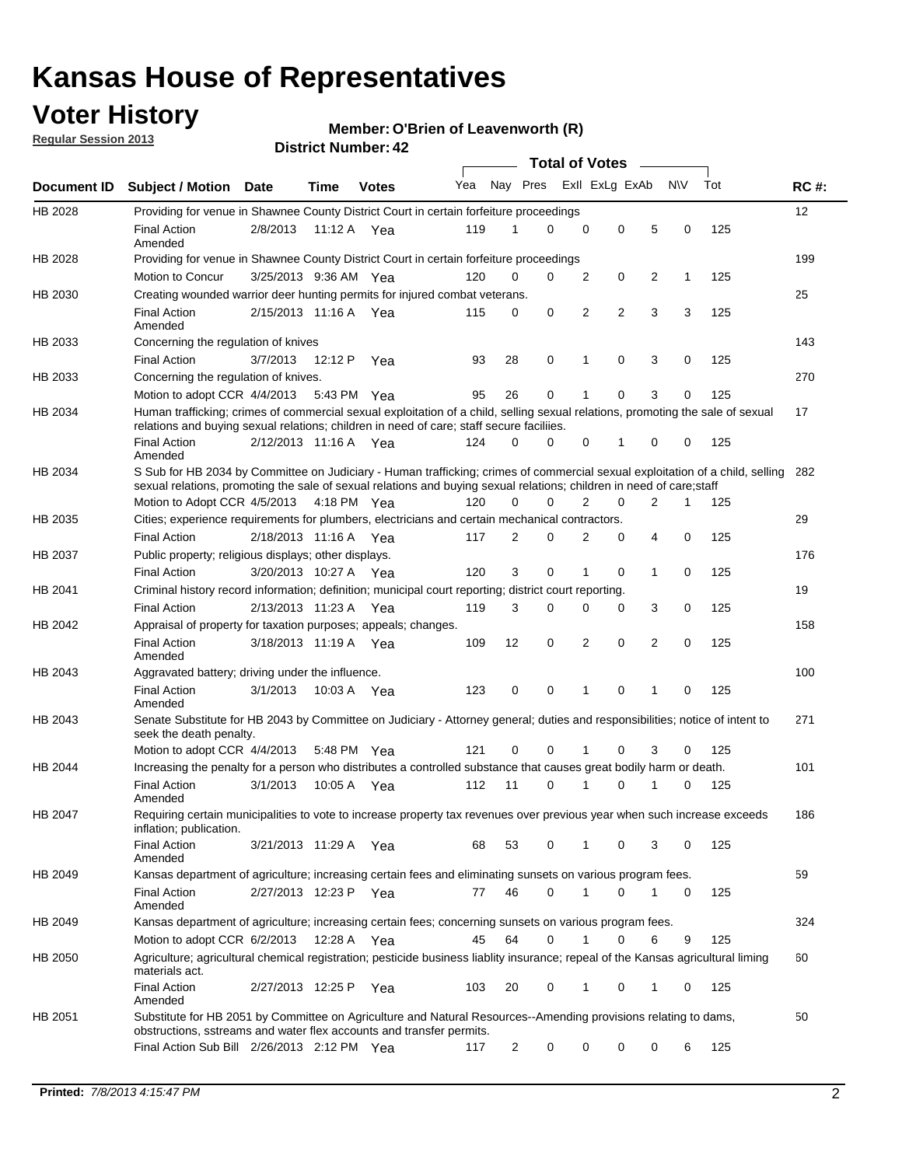## **Voter History**

**Regular Session 2013**

#### **Member: O'Brien of Leavenworth (R)**

|             |                                                                                                                                                                                                                                                        |                       |             |              |     |          | <b>Total of Votes</b> |                |                | $\sim$ |              |     |             |
|-------------|--------------------------------------------------------------------------------------------------------------------------------------------------------------------------------------------------------------------------------------------------------|-----------------------|-------------|--------------|-----|----------|-----------------------|----------------|----------------|--------|--------------|-----|-------------|
| Document ID | <b>Subject / Motion</b>                                                                                                                                                                                                                                | Date                  | <b>Time</b> | <b>Votes</b> | Yea | Nay Pres |                       |                | Exll ExLg ExAb |        | <b>NV</b>    | Tot | <b>RC#:</b> |
| HB 2028     | Providing for venue in Shawnee County District Court in certain forfeiture proceedings                                                                                                                                                                 |                       |             |              |     |          |                       |                |                |        |              |     | 12          |
|             | <b>Final Action</b><br>Amended                                                                                                                                                                                                                         | 2/8/2013              | 11:12 A Yea |              | 119 | 1        | 0                     | $\mathbf 0$    | $\mathbf 0$    | 5      | 0            | 125 |             |
| HB 2028     | Providing for venue in Shawnee County District Court in certain forfeiture proceedings                                                                                                                                                                 |                       |             |              |     |          |                       |                |                |        |              |     | 199         |
|             | Motion to Concur                                                                                                                                                                                                                                       | 3/25/2013 9:36 AM Yea |             |              | 120 | 0        | 0                     | 2              | 0              | 2      | $\mathbf{1}$ | 125 |             |
| HB 2030     | Creating wounded warrior deer hunting permits for injured combat veterans.                                                                                                                                                                             |                       |             |              |     |          |                       |                |                |        |              |     | 25          |
|             | <b>Final Action</b><br>Amended                                                                                                                                                                                                                         | 2/15/2013 11:16 A     |             | Yea          | 115 | 0        | 0                     | 2              | $\overline{2}$ | 3      | 3            | 125 |             |
| HB 2033     | Concerning the regulation of knives                                                                                                                                                                                                                    |                       |             |              |     |          |                       |                |                |        |              |     | 143         |
|             | <b>Final Action</b>                                                                                                                                                                                                                                    | 3/7/2013              | 12:12 P     | Yea          | 93  | 28       | 0                     | 1              | 0              | 3      | 0            | 125 |             |
| HB 2033     | Concerning the regulation of knives.                                                                                                                                                                                                                   |                       |             |              |     |          |                       |                |                |        |              |     | 270         |
|             | Motion to adopt CCR 4/4/2013                                                                                                                                                                                                                           |                       | 5:43 PM Yea |              | 95  | 26       | 0                     | 1              | 0              | 3      | 0            | 125 |             |
| HB 2034     | Human trafficking; crimes of commercial sexual exploitation of a child, selling sexual relations, promoting the sale of sexual<br>relations and buying sexual relations; children in need of care; staff secure faciliies.                             |                       |             |              |     |          |                       |                |                |        |              |     | 17          |
|             | <b>Final Action</b><br>Amended                                                                                                                                                                                                                         | 2/12/2013 11:16 A Yea |             |              | 124 | 0        | 0                     | 0              | 1              | 0      | 0            | 125 |             |
| HB 2034     | S Sub for HB 2034 by Committee on Judiciary - Human trafficking; crimes of commercial sexual exploitation of a child, selling<br>sexual relations, promoting the sale of sexual relations and buying sexual relations; children in need of care; staff |                       |             |              |     |          |                       |                |                |        |              |     | 282         |
|             | Motion to Adopt CCR 4/5/2013 4:18 PM Yea                                                                                                                                                                                                               |                       |             |              | 120 | $\Omega$ | 0                     | 2              | $\mathbf 0$    | 2      | 1            | 125 |             |
| HB 2035     | Cities; experience requirements for plumbers, electricians and certain mechanical contractors.                                                                                                                                                         |                       |             |              |     |          |                       |                |                |        |              |     | 29          |
|             | <b>Final Action</b>                                                                                                                                                                                                                                    | 2/18/2013 11:16 A     |             | Yea          | 117 | 2        | 0                     | 2              | 0              | 4      | 0            | 125 |             |
| HB 2037     | Public property; religious displays; other displays.                                                                                                                                                                                                   |                       |             |              |     |          |                       |                |                |        |              |     | 176         |
|             | <b>Final Action</b>                                                                                                                                                                                                                                    | 3/20/2013 10:27 A     |             | Yea          | 120 | 3        | 0                     | $\mathbf{1}$   | 0              | 1      | 0            | 125 |             |
| HB 2041     | Criminal history record information; definition; municipal court reporting; district court reporting.                                                                                                                                                  |                       |             |              |     |          |                       |                |                |        |              |     | 19          |
|             | <b>Final Action</b>                                                                                                                                                                                                                                    | 2/13/2013 11:23 A     |             | Yea          | 119 | 3        | 0                     | 0              | 0              | 3      | 0            | 125 |             |
| HB 2042     | Appraisal of property for taxation purposes; appeals; changes.                                                                                                                                                                                         |                       |             |              |     |          |                       |                |                |        |              |     | 158         |
|             | <b>Final Action</b><br>Amended                                                                                                                                                                                                                         | 3/18/2013 11:19 A     |             | Yea          | 109 | 12       | 0                     | $\overline{2}$ | 0              | 2      | 0            | 125 |             |
| HB 2043     | Aggravated battery; driving under the influence.                                                                                                                                                                                                       |                       |             |              |     |          |                       |                |                |        |              |     | 100         |
|             | <b>Final Action</b><br>Amended                                                                                                                                                                                                                         | 3/1/2013              | 10:03 A Yea |              | 123 | 0        | 0                     | 1              | $\Omega$       | 1      | 0            | 125 |             |
| HB 2043     | Senate Substitute for HB 2043 by Committee on Judiciary - Attorney general; duties and responsibilities; notice of intent to<br>seek the death penalty.                                                                                                |                       |             |              |     |          |                       |                |                |        |              |     | 271         |
|             | Motion to adopt CCR 4/4/2013                                                                                                                                                                                                                           |                       | 5:48 PM Yea |              | 121 | 0        | 0                     |                | 0              | 3      | 0            | 125 |             |
| HB 2044     | Increasing the penalty for a person who distributes a controlled substance that causes great bodily harm or death.                                                                                                                                     |                       |             |              |     |          |                       |                |                |        |              |     | 101         |
|             | <b>Final Action</b><br>Amended                                                                                                                                                                                                                         | 3/1/2013              | 10:05 A     | Yea          | 112 | 11       | 0                     | 1              | 0              | 1      | 0            | 125 |             |
| HB 2047     | Requiring certain municipalities to vote to increase property tax revenues over previous year when such increase exceeds<br>inflation; publication.                                                                                                    |                       |             |              |     |          |                       |                |                |        |              |     | 186         |
|             | <b>Final Action</b><br>Amended                                                                                                                                                                                                                         | 3/21/2013 11:29 A Yea |             |              | 68  | 53       | 0                     |                | 0              | 3      | 0            | 125 |             |
| HB 2049     | Kansas department of agriculture; increasing certain fees and eliminating sunsets on various program fees.                                                                                                                                             |                       |             |              |     |          |                       |                |                |        |              |     | 59          |
|             | Final Action<br>Amended                                                                                                                                                                                                                                | 2/27/2013 12:23 P Yea |             |              | 77  | 46       | 0                     | 1              | 0              | 1      | 0            | 125 |             |
| HB 2049     | Kansas department of agriculture; increasing certain fees; concerning sunsets on various program fees.                                                                                                                                                 |                       |             |              |     |          |                       |                |                |        |              |     | 324         |
|             | Motion to adopt CCR 6/2/2013                                                                                                                                                                                                                           |                       | 12:28 A     | Yea          | 45  | 64       | 0                     | 1              | 0              | 6      | 9            | 125 |             |
| HB 2050     | Agriculture; agricultural chemical registration; pesticide business liablity insurance; repeal of the Kansas agricultural liming<br>materials act.                                                                                                     |                       |             |              |     |          |                       |                |                |        |              |     | 60          |
|             | <b>Final Action</b><br>Amended                                                                                                                                                                                                                         | 2/27/2013 12:25 P     |             | Yea          | 103 | 20       | 0                     | 1              | 0              | 1      | 0            | 125 |             |
| HB 2051     | Substitute for HB 2051 by Committee on Agriculture and Natural Resources--Amending provisions relating to dams,<br>obstructions, sstreams and water flex accounts and transfer permits.                                                                |                       |             |              |     |          |                       |                |                |        |              |     | 50          |
|             | Final Action Sub Bill 2/26/2013 2:12 PM Yea                                                                                                                                                                                                            |                       |             |              | 117 | 2        | 0                     | 0              | 0              | 0      | 6            | 125 |             |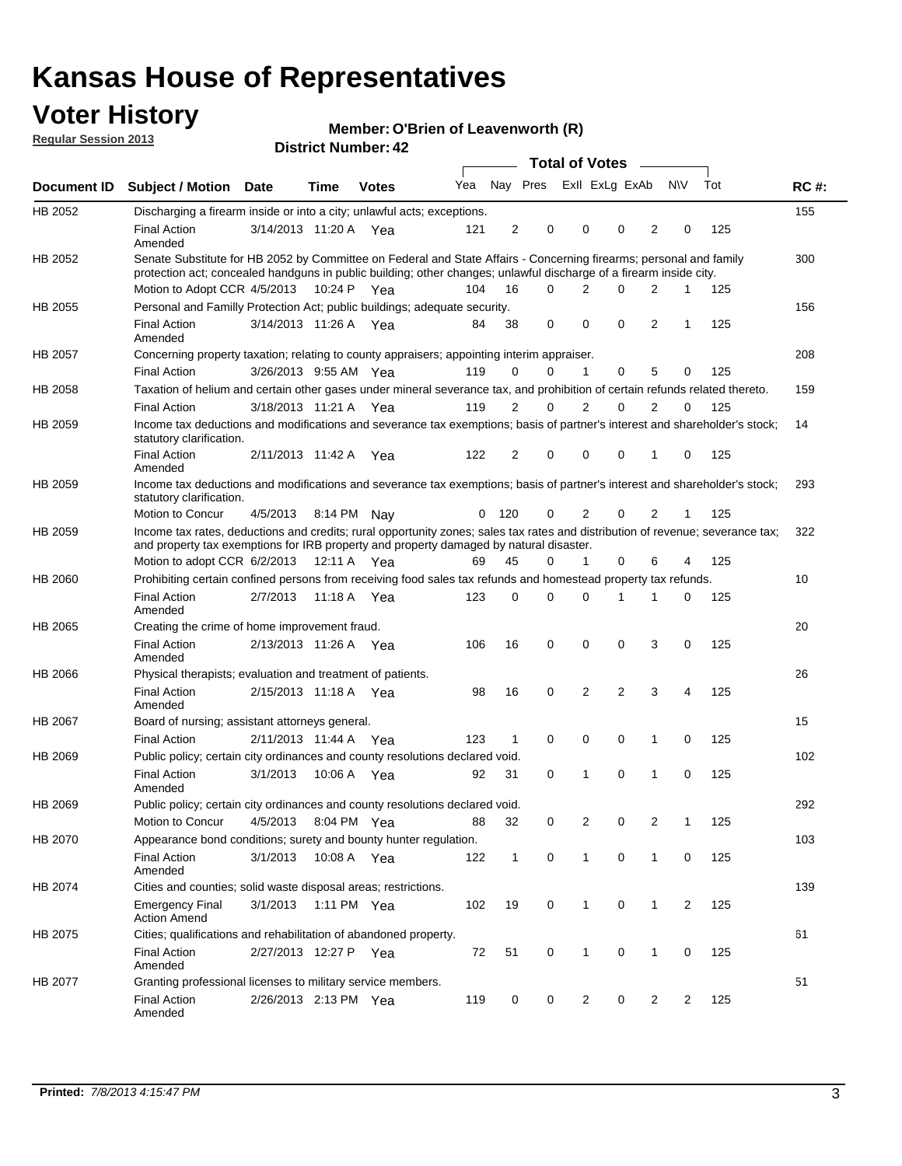## **Voter History**

**O'Brien of Leavenworth (R)**

**Regular Session 2013**

|             |                                                                                                                                                                                                                                          |                       |      | DISTRICT NUMBER: 42 |     |     |             |                  |                |                |              |             |     |             |
|-------------|------------------------------------------------------------------------------------------------------------------------------------------------------------------------------------------------------------------------------------------|-----------------------|------|---------------------|-----|-----|-------------|------------------|----------------|----------------|--------------|-------------|-----|-------------|
| Document ID | <b>Subject / Motion</b>                                                                                                                                                                                                                  | Date                  | Time | <b>Votes</b>        | Yea |     | Nay Pres    | Total of Votes – | Exll ExLg ExAb |                |              | <b>NV</b>   | Tot | <b>RC#:</b> |
| HB 2052     | Discharging a firearm inside or into a city; unlawful acts; exceptions.                                                                                                                                                                  |                       |      |                     |     |     |             |                  |                |                |              |             |     | 155         |
|             | <b>Final Action</b><br>Amended                                                                                                                                                                                                           | 3/14/2013 11:20 A Yea |      |                     | 121 | 2   |             | 0                | $\Omega$       | 0              | 2            | 0           | 125 |             |
| HB 2052     | Senate Substitute for HB 2052 by Committee on Federal and State Affairs - Concerning firearms; personal and family<br>protection act; concealed handguns in public building; other changes; unlawful discharge of a firearm inside city. |                       |      |                     |     |     |             |                  |                |                |              |             |     | 300         |
|             | Motion to Adopt CCR 4/5/2013 10:24 P Yea                                                                                                                                                                                                 |                       |      |                     | 104 | 16  |             | 0                | 2              | 0              | 2            | 1           | 125 |             |
| HB 2055     | Personal and Familly Protection Act; public buildings; adequate security.                                                                                                                                                                |                       |      |                     |     |     |             |                  |                |                |              |             |     | 156         |
|             | <b>Final Action</b><br>Amended                                                                                                                                                                                                           | 3/14/2013 11:26 A Yea |      |                     | 84  | 38  | 0           |                  | 0              | 0              | 2            | 1           | 125 |             |
| HB 2057     | Concerning property taxation; relating to county appraisers; appointing interim appraiser.                                                                                                                                               |                       |      |                     |     |     |             |                  |                |                |              |             |     | 208         |
|             | <b>Final Action</b>                                                                                                                                                                                                                      | 3/26/2013 9:55 AM Yea |      |                     | 119 | 0   |             | 0                |                | $\Omega$       | 5            | 0           | 125 |             |
| HB 2058     | Taxation of helium and certain other gases under mineral severance tax, and prohibition of certain refunds related thereto.                                                                                                              |                       |      |                     |     |     |             |                  |                |                |              |             |     | 159         |
|             | <b>Final Action</b>                                                                                                                                                                                                                      | 3/18/2013 11:21 A Yea |      |                     | 119 | 2   |             | $\Omega$         | 2              | 0              | 2            | 0           | 125 |             |
| HB 2059     | Income tax deductions and modifications and severance tax exemptions; basis of partner's interest and shareholder's stock;<br>statutory clarification.                                                                                   |                       |      |                     |     |     |             |                  |                |                |              |             |     | 14          |
|             | <b>Final Action</b><br>Amended                                                                                                                                                                                                           | 2/11/2013 11:42 A     |      | Yea                 | 122 | 2   | 0           |                  | $\Omega$       | 0              | 1            | 0           | 125 |             |
| HB 2059     | Income tax deductions and modifications and severance tax exemptions; basis of partner's interest and shareholder's stock;<br>statutory clarification.                                                                                   |                       |      |                     |     |     |             |                  |                |                |              |             |     | 293         |
|             | Motion to Concur                                                                                                                                                                                                                         | 4/5/2013              |      | 8:14 PM Nay         | 0   | 120 |             | 0                | 2              | 0              | 2            | 1           | 125 |             |
| HB 2059     | Income tax rates, deductions and credits; rural opportunity zones; sales tax rates and distribution of revenue; severance tax;<br>and property tax exemptions for IRB property and property damaged by natural disaster.                 |                       |      |                     |     |     |             |                  |                |                |              |             |     | 322         |
|             | Motion to adopt CCR 6/2/2013 12:11 A Yea                                                                                                                                                                                                 |                       |      |                     | 69  | 45  |             | 0                | $\mathbf{1}$   | $\Omega$       | 6            | 4           | 125 |             |
| HB 2060     | Prohibiting certain confined persons from receiving food sales tax refunds and homestead property tax refunds.                                                                                                                           |                       |      |                     |     |     |             |                  |                |                |              |             |     | 10          |
|             | <b>Final Action</b><br>Amended                                                                                                                                                                                                           | 2/7/2013              |      | 11:18 A Yea         | 123 | 0   |             | $\Omega$         | 0              | 1              | 1            | $\Omega$    | 125 |             |
| HB 2065     | Creating the crime of home improvement fraud.                                                                                                                                                                                            |                       |      |                     |     |     |             |                  |                |                |              |             |     | 20          |
|             | <b>Final Action</b><br>Amended                                                                                                                                                                                                           | 2/13/2013 11:26 A Yea |      |                     | 106 | 16  | $\mathbf 0$ |                  | 0              | 0              | 3            | $\mathbf 0$ | 125 |             |
| HB 2066     | Physical therapists; evaluation and treatment of patients.                                                                                                                                                                               |                       |      |                     |     |     |             |                  |                |                |              |             |     | 26          |
|             | <b>Final Action</b><br>Amended                                                                                                                                                                                                           | 2/15/2013 11:18 A Yea |      |                     | 98  | 16  | $\mathbf 0$ |                  | 2              | $\overline{2}$ | 3            | 4           | 125 |             |
| HB 2067     | Board of nursing; assistant attorneys general.                                                                                                                                                                                           |                       |      |                     |     |     |             |                  |                |                |              |             |     | 15          |
|             | <b>Final Action</b>                                                                                                                                                                                                                      | 2/11/2013 11:44 A Yea |      |                     | 123 | 1   |             | 0                | 0              | 0              | $\mathbf{1}$ | 0           | 125 |             |
| HB 2069     | Public policy; certain city ordinances and county resolutions declared void.                                                                                                                                                             |                       |      |                     |     |     |             |                  |                |                |              |             |     | 102         |
|             | <b>Final Action</b><br>Amended                                                                                                                                                                                                           | 3/1/2013              |      | 10:06 A Yea         | 92  | 31  |             | 0                | -1             | $\Omega$       | 1            | 0           | 125 |             |
| HB 2069     | Public policy; certain city ordinances and county resolutions declared void.                                                                                                                                                             |                       |      |                     |     |     |             |                  |                |                |              |             |     | 292         |
|             | Motion to Concur                                                                                                                                                                                                                         | 4/5/2013              |      | 8:04 PM Yea         | 88  | 32  |             | 0                | $\overline{2}$ | 0              | 2            | 1           | 125 |             |
| HB 2070     | Appearance bond conditions; surety and bounty hunter regulation.                                                                                                                                                                         |                       |      |                     |     |     |             |                  |                |                |              |             |     | 103         |
|             | <b>Final Action</b><br>Amended                                                                                                                                                                                                           | 3/1/2013              |      | 10:08 A Yea         | 122 | 1   | 0           |                  | 1              | 0              | 1            | 0           | 125 |             |
| HB 2074     | Cities and counties; solid waste disposal areas; restrictions.                                                                                                                                                                           |                       |      |                     |     |     |             |                  |                |                |              |             |     | 139         |
|             | <b>Emergency Final</b><br><b>Action Amend</b>                                                                                                                                                                                            | 3/1/2013              |      | 1:11 PM Yea         | 102 | 19  |             | 0                | $\mathbf{1}$   | 0              | $\mathbf{1}$ | 2           | 125 |             |
| HB 2075     | Cities; qualifications and rehabilitation of abandoned property.                                                                                                                                                                         |                       |      |                     |     |     |             |                  |                |                |              |             |     | 61          |
|             | <b>Final Action</b><br>Amended                                                                                                                                                                                                           | 2/27/2013 12:27 P Yea |      |                     | 72  | 51  |             | 0                | 1              | 0              | 1            | 0           | 125 |             |
| HB 2077     | Granting professional licenses to military service members.                                                                                                                                                                              |                       |      |                     |     |     |             |                  |                |                |              |             |     | 51          |
|             | <b>Final Action</b><br>Amended                                                                                                                                                                                                           | 2/26/2013 2:13 PM Yea |      |                     | 119 | 0   |             | 0                | 2              | 0              | 2            | 2           | 125 |             |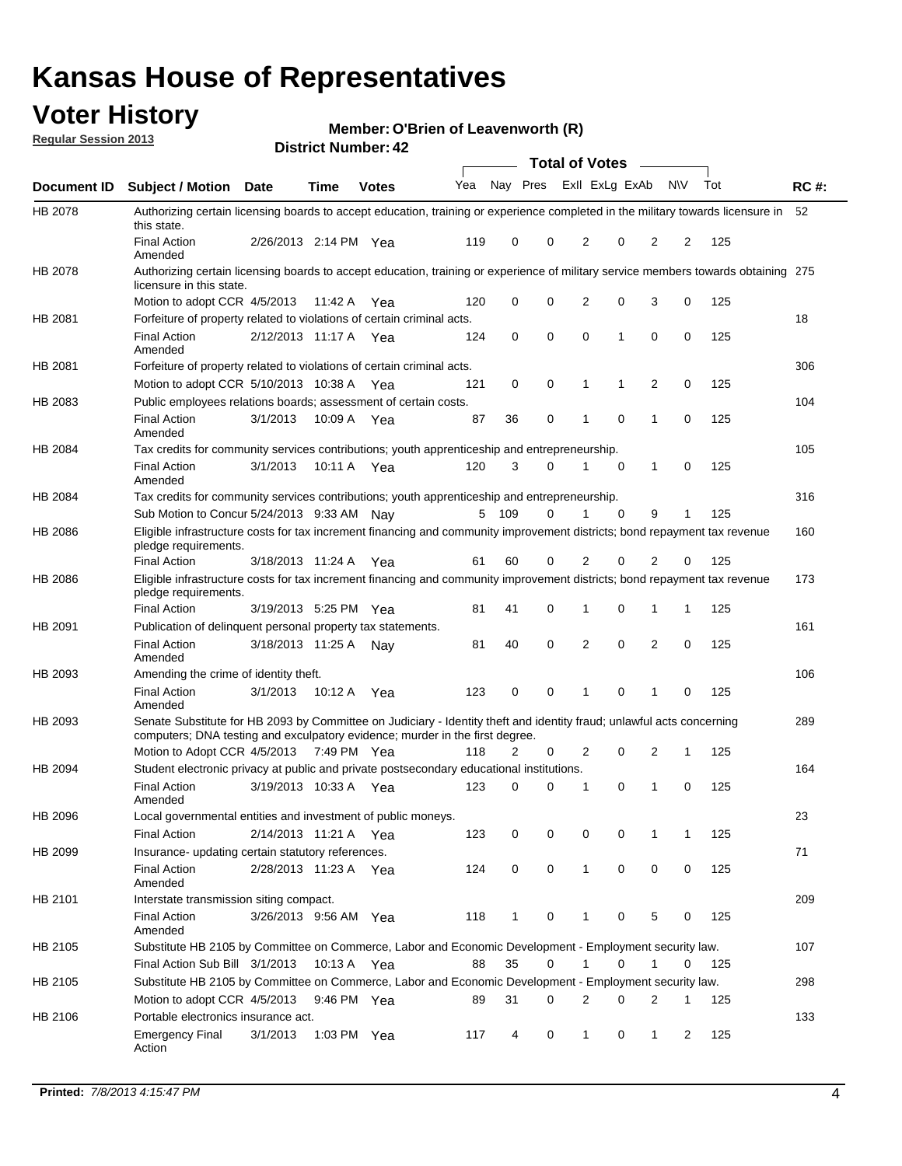## **Voter History**

**Member: O'Brien of Leavenworth (R)** 

**Regular Session 2013**

|                    |                                                                                                                                                                                                       |                       |             |              |     |          |   | <b>Total of Votes</b> |             |              |           |     |             |
|--------------------|-------------------------------------------------------------------------------------------------------------------------------------------------------------------------------------------------------|-----------------------|-------------|--------------|-----|----------|---|-----------------------|-------------|--------------|-----------|-----|-------------|
| <b>Document ID</b> | Subject / Motion Date                                                                                                                                                                                 |                       | <b>Time</b> | <b>Votes</b> | Yea | Nay Pres |   | Exll ExLg ExAb        |             |              | <b>NV</b> | Tot | <b>RC#:</b> |
| HB 2078            | Authorizing certain licensing boards to accept education, training or experience completed in the military towards licensure in<br>this state.                                                        |                       |             |              |     |          |   |                       |             |              |           |     | 52          |
|                    | <b>Final Action</b><br>Amended                                                                                                                                                                        | 2/26/2013 2:14 PM Yea |             |              | 119 | 0        | 0 | 2                     | 0           | 2            | 2         | 125 |             |
| HB 2078            | Authorizing certain licensing boards to accept education, training or experience of military service members towards obtaining 275<br>licensure in this state.                                        |                       |             |              |     |          |   |                       |             |              |           |     |             |
|                    | Motion to adopt CCR 4/5/2013                                                                                                                                                                          |                       | 11:42 A     | Yea          | 120 | 0        | 0 | $\overline{2}$        | 0           | 3            | 0         | 125 |             |
| HB 2081            | Forfeiture of property related to violations of certain criminal acts.                                                                                                                                |                       |             |              |     |          |   |                       |             |              |           |     | 18          |
|                    | <b>Final Action</b><br>Amended                                                                                                                                                                        | 2/12/2013 11:17 A Yea |             |              | 124 | 0        | 0 | 0                     | 1           | 0            | 0         | 125 |             |
| HB 2081            | Forfeiture of property related to violations of certain criminal acts.                                                                                                                                |                       |             |              |     |          |   |                       |             |              |           |     | 306         |
|                    | Motion to adopt CCR 5/10/2013 10:38 A                                                                                                                                                                 |                       |             | Yea          | 121 | 0        | 0 | 1                     | 1           | 2            | 0         | 125 |             |
| HB 2083            | Public employees relations boards; assessment of certain costs.                                                                                                                                       |                       |             |              |     |          |   |                       |             |              |           |     | 104         |
|                    | <b>Final Action</b><br>Amended                                                                                                                                                                        | 3/1/2013              | 10:09 A     | Yea          | 87  | 36       | 0 | 1                     | 0           | 1            | 0         | 125 |             |
| HB 2084            | Tax credits for community services contributions; youth apprenticeship and entrepreneurship.                                                                                                          |                       |             |              |     |          |   |                       |             |              |           |     | 105         |
|                    | <b>Final Action</b><br>Amended                                                                                                                                                                        | 3/1/2013              | 10:11 A Yea |              | 120 | 3        | 0 | 1                     | 0           | 1            | 0         | 125 |             |
| HB 2084            | Tax credits for community services contributions; youth apprenticeship and entrepreneurship.                                                                                                          |                       |             |              |     |          |   |                       |             |              |           |     | 316         |
|                    | Sub Motion to Concur 5/24/2013 9:33 AM Nay                                                                                                                                                            |                       |             |              |     | 5 109    | 0 | 1                     | $\mathbf 0$ | 9            | 1         | 125 |             |
| HB 2086            | Eligible infrastructure costs for tax increment financing and community improvement districts; bond repayment tax revenue<br>pledge requirements.                                                     |                       |             |              |     |          |   |                       |             |              |           |     | 160         |
|                    | <b>Final Action</b>                                                                                                                                                                                   | 3/18/2013 11:24 A     |             | Yea          | 61  | 60       | 0 | 2                     | 0           | 2            | 0         | 125 |             |
| HB 2086            | Eligible infrastructure costs for tax increment financing and community improvement districts; bond repayment tax revenue<br>pledge requirements.                                                     |                       |             |              |     |          |   |                       |             |              |           |     | 173         |
|                    | <b>Final Action</b>                                                                                                                                                                                   | 3/19/2013 5:25 PM     |             | Yea          | 81  | 41       | 0 | 1                     | 0           | 1            | 1         | 125 |             |
| HB 2091            | Publication of delinquent personal property tax statements.                                                                                                                                           |                       |             |              |     |          |   |                       |             |              |           |     | 161         |
|                    | <b>Final Action</b><br>Amended                                                                                                                                                                        | 3/18/2013 11:25 A Nay |             |              | 81  | 40       | 0 | $\overline{2}$        | $\mathbf 0$ | 2            | 0         | 125 |             |
| HB 2093            | Amending the crime of identity theft.                                                                                                                                                                 |                       |             |              |     |          |   |                       |             |              |           |     | 106         |
|                    | <b>Final Action</b><br>Amended                                                                                                                                                                        | 3/1/2013              | 10:12 A Yea |              | 123 | 0        | 0 | 1                     | 0           | 1            | 0         | 125 |             |
| HB 2093            | Senate Substitute for HB 2093 by Committee on Judiciary - Identity theft and identity fraud; unlawful acts concerning<br>computers; DNA testing and exculpatory evidence; murder in the first degree. |                       |             |              |     |          |   |                       |             |              |           |     | 289         |
|                    | Motion to Adopt CCR 4/5/2013 7:49 PM Yea                                                                                                                                                              |                       |             |              | 118 | 2        | 0 | 2                     | 0           | 2            | 1         | 125 |             |
| HB 2094            | Student electronic privacy at public and private postsecondary educational institutions.                                                                                                              |                       |             |              |     |          |   |                       |             |              |           |     | 164         |
|                    | <b>Final Action</b><br>Amended                                                                                                                                                                        | 3/19/2013 10:33 A     |             | Yea          | 123 | 0        | 0 | 1                     | 0           | 1            | 0         | 125 |             |
| HB 2096            | Local governmental entities and investment of public moneys.                                                                                                                                          |                       |             |              |     |          |   |                       |             |              |           |     | 23          |
|                    | <b>Final Action</b>                                                                                                                                                                                   | 2/14/2013 11:21 A Yea |             |              | 123 | 0        | 0 | 0                     | 0           | 1            | 1         | 125 |             |
| HB 2099            | Insurance- updating certain statutory references.                                                                                                                                                     |                       |             |              |     |          |   |                       |             |              |           |     | 71          |
|                    | <b>Final Action</b><br>Amended                                                                                                                                                                        | 2/28/2013 11:23 A Yea |             |              | 124 | 0        | 0 | $\mathbf{1}$          | 0           | 0            | 0         | 125 |             |
| HB 2101            | Interstate transmission siting compact.                                                                                                                                                               |                       |             |              |     |          |   |                       |             |              |           |     | 209         |
|                    | Final Action<br>Amended                                                                                                                                                                               | 3/26/2013 9:56 AM Yea |             |              | 118 | 1        | 0 | 1                     | 0           | 5            | 0         | 125 |             |
| HB 2105            | Substitute HB 2105 by Committee on Commerce, Labor and Economic Development - Employment security law.                                                                                                |                       |             |              |     |          |   |                       |             |              |           |     | 107         |
|                    | Final Action Sub Bill 3/1/2013                                                                                                                                                                        |                       | 10:13 A Yea |              | 88  | 35       | 0 |                       | 0           | 1            | 0         | 125 |             |
| HB 2105            | Substitute HB 2105 by Committee on Commerce, Labor and Economic Development - Employment security law.                                                                                                |                       |             |              |     |          |   |                       |             |              |           |     | 298         |
|                    | Motion to adopt CCR 4/5/2013                                                                                                                                                                          |                       | 9:46 PM Yea |              | 89  | 31       | 0 | 2                     | 0           | 2            | 1         | 125 |             |
| HB 2106            | Portable electronics insurance act.                                                                                                                                                                   |                       |             |              |     |          |   |                       |             |              |           |     | 133         |
|                    | Emergency Final<br>Action                                                                                                                                                                             | 3/1/2013              | 1:03 PM Yea |              | 117 | 4        | 0 | $\mathbf{1}$          | 0           | $\mathbf{1}$ | 2         | 125 |             |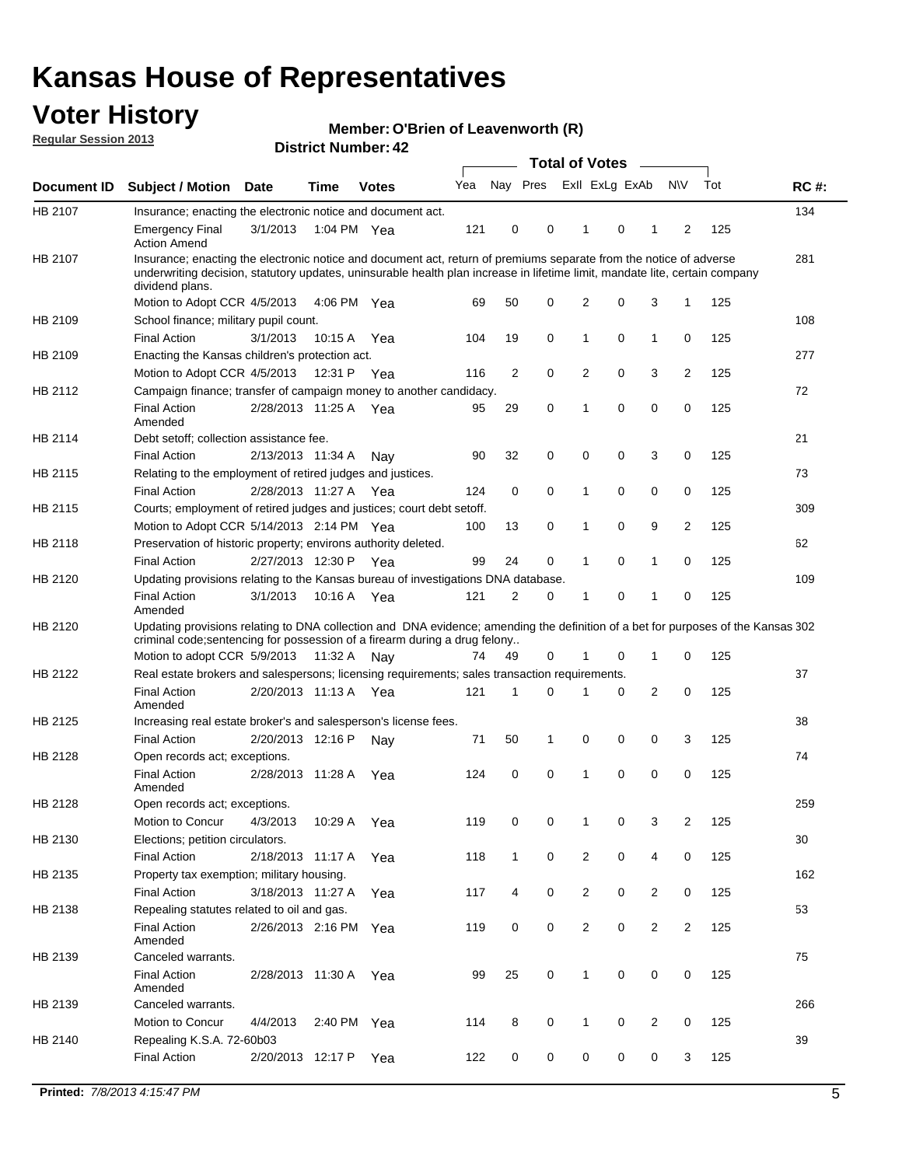## **Voter History**

**O'Brien of Leavenworth (R)**

**Regular Session 2013**

|             |                                                                                                                                                                                                                                                                      |                       |         | <b>DISTRICT NUMBER: 42</b> |     |                |   | Total of Votes – |   |              |                |     |             |
|-------------|----------------------------------------------------------------------------------------------------------------------------------------------------------------------------------------------------------------------------------------------------------------------|-----------------------|---------|----------------------------|-----|----------------|---|------------------|---|--------------|----------------|-----|-------------|
| Document ID | <b>Subject / Motion</b>                                                                                                                                                                                                                                              | Date                  | Time    | <b>Votes</b>               | Yea | Nay Pres       |   | Exll ExLg ExAb   |   |              | <b>NV</b>      | Tot | <b>RC#:</b> |
| HB 2107     | Insurance; enacting the electronic notice and document act.                                                                                                                                                                                                          |                       |         |                            |     |                |   |                  |   |              |                |     | 134         |
|             | <b>Emergency Final</b><br><b>Action Amend</b>                                                                                                                                                                                                                        | 3/1/2013              |         | 1:04 PM Yea                | 121 | 0              | 0 | 1                | 0 | 1            | 2              | 125 |             |
| HB 2107     | Insurance; enacting the electronic notice and document act, return of premiums separate from the notice of adverse<br>underwriting decision, statutory updates, uninsurable health plan increase in lifetime limit, mandate lite, certain company<br>dividend plans. |                       |         |                            |     |                |   |                  |   |              |                |     | 281         |
|             | Motion to Adopt CCR 4/5/2013                                                                                                                                                                                                                                         |                       |         | 4:06 PM Yea                | 69  | 50             | 0 | 2                | 0 | 3            | 1              | 125 |             |
| HB 2109     | School finance; military pupil count.                                                                                                                                                                                                                                |                       |         |                            |     |                |   |                  |   |              |                |     | 108         |
|             | <b>Final Action</b>                                                                                                                                                                                                                                                  | 3/1/2013              | 10:15A  | Yea                        | 104 | 19             | 0 | 1                | 0 | 1            | 0              | 125 |             |
| HB 2109     | Enacting the Kansas children's protection act.                                                                                                                                                                                                                       |                       |         |                            |     |                |   |                  |   |              |                |     | 277         |
|             | Motion to Adopt CCR 4/5/2013                                                                                                                                                                                                                                         |                       | 12:31 P | Yea                        | 116 | $\overline{2}$ | 0 | 2                | 0 | 3            | $\overline{2}$ | 125 |             |
| HB 2112     | Campaign finance; transfer of campaign money to another candidacy.                                                                                                                                                                                                   |                       |         |                            |     |                |   |                  |   |              |                |     | 72          |
|             | <b>Final Action</b><br>Amended                                                                                                                                                                                                                                       | 2/28/2013 11:25 A Yea |         |                            | 95  | 29             | 0 | 1                | 0 | 0            | 0              | 125 |             |
| HB 2114     | Debt setoff; collection assistance fee.                                                                                                                                                                                                                              |                       |         |                            |     |                |   |                  |   |              |                |     | 21          |
|             | <b>Final Action</b>                                                                                                                                                                                                                                                  | 2/13/2013 11:34 A     |         | Nav                        | 90  | 32             | 0 | 0                | 0 | 3            | 0              | 125 |             |
| HB 2115     | Relating to the employment of retired judges and justices.                                                                                                                                                                                                           |                       |         |                            |     |                |   |                  |   |              |                |     | 73          |
|             | <b>Final Action</b>                                                                                                                                                                                                                                                  | 2/28/2013 11:27 A Yea |         |                            | 124 | 0              | 0 | 1                | 0 | 0            | 0              | 125 |             |
| HB 2115     | Courts; employment of retired judges and justices; court debt setoff.                                                                                                                                                                                                |                       |         |                            |     |                |   |                  |   |              |                |     | 309         |
|             | Motion to Adopt CCR 5/14/2013 2:14 PM Yea                                                                                                                                                                                                                            |                       |         |                            | 100 | 13             | 0 | 1                | 0 | 9            | 2              | 125 |             |
| HB 2118     | Preservation of historic property; environs authority deleted.                                                                                                                                                                                                       |                       |         |                            |     |                |   |                  |   |              |                |     | 62          |
|             | <b>Final Action</b>                                                                                                                                                                                                                                                  | 2/27/2013 12:30 P Yea |         |                            | 99  | 24             | 0 | 1                | 0 | 1            | 0              | 125 |             |
| HB 2120     | Updating provisions relating to the Kansas bureau of investigations DNA database.                                                                                                                                                                                    |                       |         |                            |     |                |   |                  |   |              |                |     | 109         |
|             | <b>Final Action</b><br>Amended                                                                                                                                                                                                                                       | 3/1/2013              |         | 10:16 A Yea                | 121 | 2              | 0 | 1                | 0 | 1            | 0              | 125 |             |
| HB 2120     | Updating provisions relating to DNA collection and DNA evidence; amending the definition of a bet for purposes of the Kansas 302<br>criminal code; sentencing for possession of a firearm during a drug felony                                                       |                       |         |                            |     |                |   |                  |   |              |                |     |             |
|             | Motion to adopt CCR 5/9/2013 11:32 A Nay                                                                                                                                                                                                                             |                       |         |                            | 74  | 49             | 0 | 1                | 0 | $\mathbf{1}$ | 0              | 125 |             |
| HB 2122     | Real estate brokers and salespersons; licensing requirements; sales transaction requirements.                                                                                                                                                                        |                       |         |                            |     |                |   |                  |   |              |                |     | 37          |
|             | <b>Final Action</b><br>Amended                                                                                                                                                                                                                                       | 2/20/2013 11:13 A Yea |         |                            | 121 | 1              | 0 |                  | 0 | 2            | 0              | 125 |             |
| HB 2125     | Increasing real estate broker's and salesperson's license fees.                                                                                                                                                                                                      |                       |         |                            |     |                |   |                  |   |              |                |     | 38          |
|             | <b>Final Action</b>                                                                                                                                                                                                                                                  | 2/20/2013 12:16 P     |         | Nav                        | 71  | 50             | 1 | 0                | 0 | 0            | 3              | 125 |             |
| HB 2128     | Open records act; exceptions.                                                                                                                                                                                                                                        |                       |         |                            |     |                |   |                  |   |              |                |     | 74          |
|             | <b>Final Action</b><br>Amended                                                                                                                                                                                                                                       | 2/28/2013 11:28 A     |         | Yea                        | 124 | 0              | 0 | 1                | 0 | 0            | 0              | 125 |             |
| HB 2128     | Open records act; exceptions.                                                                                                                                                                                                                                        |                       |         |                            |     |                |   |                  |   |              |                |     | 259         |
|             | Motion to Concur                                                                                                                                                                                                                                                     | 4/3/2013              | 10:29 A | Yea                        | 119 | 0              | 0 | 1                | 0 | 3            | 2              | 125 |             |
| HB 2130     | Elections; petition circulators.                                                                                                                                                                                                                                     |                       |         |                            |     |                |   |                  |   |              |                |     | 30          |
|             | Final Action                                                                                                                                                                                                                                                         | 2/18/2013 11:17 A     |         | Yea                        | 118 | $\mathbf{1}$   | 0 | $\overline{2}$   | 0 | 4            | 0              | 125 |             |
| HB 2135     | Property tax exemption; military housing.                                                                                                                                                                                                                            |                       |         |                            |     |                |   |                  |   |              |                |     | 162         |
|             | <b>Final Action</b>                                                                                                                                                                                                                                                  | 3/18/2013 11:27 A     |         | Yea                        | 117 | 4              | 0 | $\overline{c}$   | 0 | 2            | 0              | 125 |             |
| HB 2138     | Repealing statutes related to oil and gas.                                                                                                                                                                                                                           |                       |         |                            |     |                |   |                  |   |              |                |     | 53          |
|             | <b>Final Action</b><br>Amended                                                                                                                                                                                                                                       | 2/26/2013 2:16 PM Yea |         |                            | 119 | 0              | 0 | $\overline{c}$   | 0 | 2            | $\overline{2}$ | 125 |             |
| HB 2139     | Canceled warrants.                                                                                                                                                                                                                                                   |                       |         |                            |     |                |   |                  |   |              |                |     | 75          |
|             | <b>Final Action</b><br>Amended                                                                                                                                                                                                                                       | 2/28/2013 11:30 A     |         | Yea                        | 99  | 25             | 0 | $\mathbf{1}$     | 0 | 0            | 0              | 125 |             |
| HB 2139     | Canceled warrants.                                                                                                                                                                                                                                                   |                       |         |                            |     |                |   |                  |   |              |                |     | 266         |
|             | Motion to Concur                                                                                                                                                                                                                                                     | 4/4/2013              | 2:40 PM | Yea                        | 114 | 8              | 0 | 1                | 0 | 2            | 0              | 125 |             |
| HB 2140     | Repealing K.S.A. 72-60b03                                                                                                                                                                                                                                            |                       |         |                            |     |                |   |                  |   |              |                |     | 39          |
|             | Final Action                                                                                                                                                                                                                                                         | 2/20/2013 12:17 P     |         | Yea                        | 122 | 0              | 0 | 0                | 0 | 0            | 3              | 125 |             |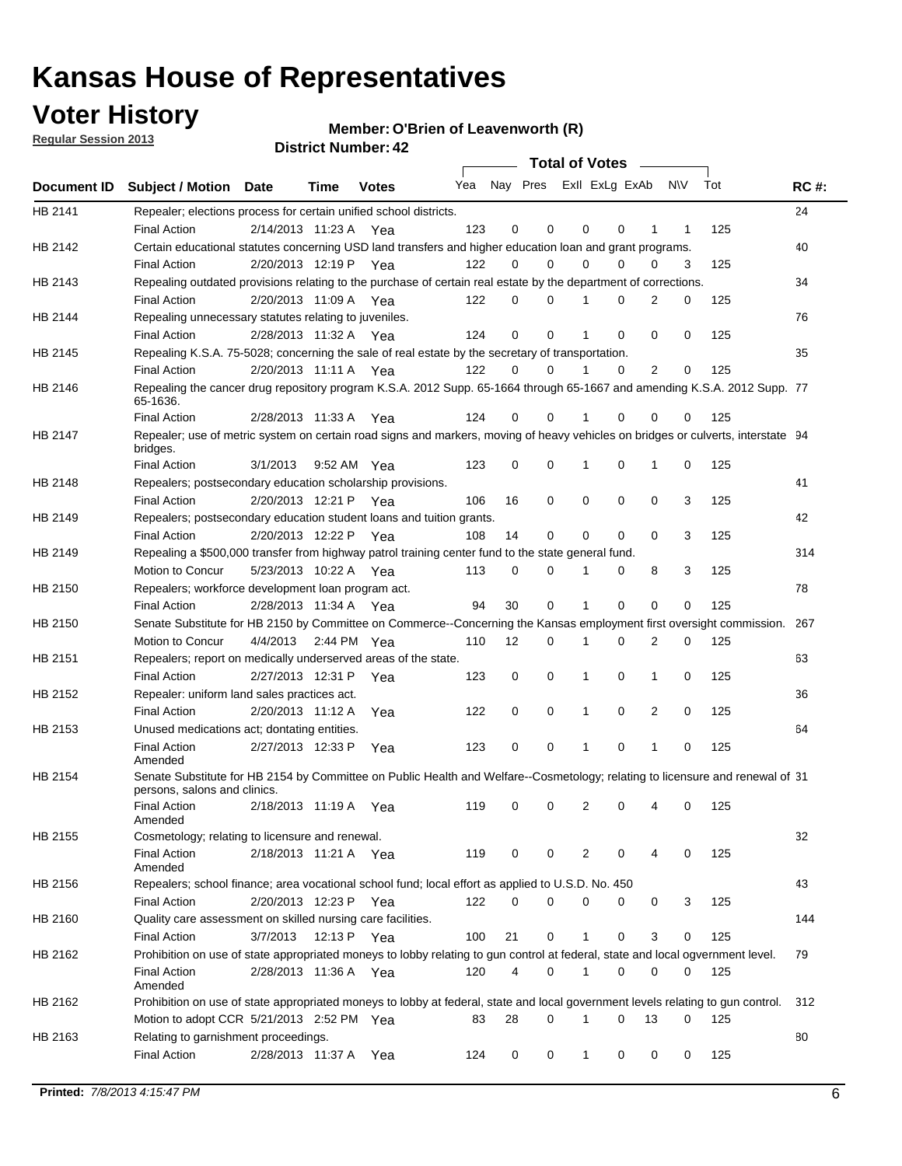## **Voter History**

**Member: O'Brien of Leavenworth (R)** 

**Regular Session 2013**

|             |                                                                                                                                              |          |                       |              |     |             | <b>Total of Votes</b>   |              |   | $\sim 100$ m $^{-1}$ |           |     |             |
|-------------|----------------------------------------------------------------------------------------------------------------------------------------------|----------|-----------------------|--------------|-----|-------------|-------------------------|--------------|---|----------------------|-----------|-----|-------------|
| Document ID | <b>Subject / Motion Date</b>                                                                                                                 |          | Time                  | <b>Votes</b> | Yea |             | Nay Pres ExII ExLg ExAb |              |   |                      | <b>NV</b> | Tot | <b>RC#:</b> |
| HB 2141     | Repealer; elections process for certain unified school districts.                                                                            |          |                       |              |     |             |                         |              |   |                      |           |     | 24          |
|             | <b>Final Action</b>                                                                                                                          |          | 2/14/2013 11:23 A Yea |              | 123 | 0           | 0                       | 0            | 0 | 1                    | 1         | 125 |             |
| HB 2142     | Certain educational statutes concerning USD land transfers and higher education loan and grant programs.                                     |          |                       |              |     |             |                         |              |   |                      |           |     | 40          |
|             | <b>Final Action</b>                                                                                                                          |          | 2/20/2013 12:19 P Yea |              | 122 | 0           | 0                       | 0            | 0 | $\Omega$             | 3         | 125 |             |
| HB 2143     | Repealing outdated provisions relating to the purchase of certain real estate by the department of corrections.                              |          |                       |              |     |             |                         |              |   |                      |           |     | 34          |
|             | <b>Final Action</b>                                                                                                                          |          | 2/20/2013 11:09 A Yea |              | 122 | 0           | 0                       | 1            | 0 | $\overline{2}$       | 0         | 125 |             |
| HB 2144     | Repealing unnecessary statutes relating to juveniles.                                                                                        |          |                       |              |     |             |                         |              |   |                      |           |     | 76          |
|             | <b>Final Action</b>                                                                                                                          |          | 2/28/2013 11:32 A Yea |              | 124 | $\mathbf 0$ | 0                       | 1            | 0 | 0                    | 0         | 125 |             |
| HB 2145     | Repealing K.S.A. 75-5028; concerning the sale of real estate by the secretary of transportation.                                             |          |                       |              |     |             |                         |              |   |                      |           |     | 35          |
|             | <b>Final Action</b>                                                                                                                          |          | 2/20/2013 11:11 A Yea |              | 122 | 0           | 0                       | 1            | 0 | 2                    | 0         | 125 |             |
| HB 2146     | Repealing the cancer drug repository program K.S.A. 2012 Supp. 65-1664 through 65-1667 and amending K.S.A. 2012 Supp. 77<br>65-1636.         |          |                       |              |     |             |                         |              |   |                      |           |     |             |
|             | <b>Final Action</b>                                                                                                                          |          | 2/28/2013 11:33 A     | Yea          | 124 | 0           | 0                       | 1            | 0 | 0                    | 0         | 125 |             |
| HB 2147     | Repealer; use of metric system on certain road signs and markers, moving of heavy vehicles on bridges or culverts, interstate 94<br>bridges. |          |                       |              |     |             |                         |              |   |                      |           |     |             |
|             | <b>Final Action</b>                                                                                                                          | 3/1/2013 |                       | 9:52 AM Yea  | 123 | $\mathbf 0$ | 0                       |              | 0 | 1                    | 0         | 125 |             |
| HB 2148     | Repealers; postsecondary education scholarship provisions.                                                                                   |          |                       |              |     |             |                         |              |   |                      |           |     | 41          |
|             | <b>Final Action</b>                                                                                                                          |          | 2/20/2013 12:21 P     | Yea          | 106 | 16          | 0                       | $\mathbf 0$  | 0 | $\mathbf 0$          | 3         | 125 |             |
| HB 2149     | Repealers; postsecondary education student loans and tuition grants.                                                                         |          |                       |              |     |             |                         |              |   |                      |           |     | 42          |
|             | <b>Final Action</b>                                                                                                                          |          | 2/20/2013 12:22 P     | Yea          | 108 | 14          | 0                       | 0            | 0 | $\Omega$             | 3         | 125 |             |
| HB 2149     | Repealing a \$500,000 transfer from highway patrol training center fund to the state general fund.                                           |          |                       |              |     |             |                         |              |   |                      |           |     | 314         |
|             | Motion to Concur                                                                                                                             |          | 5/23/2013 10:22 A Yea |              | 113 | 0           | 0                       |              | 0 | 8                    | 3         | 125 |             |
| HB 2150     | Repealers; workforce development loan program act.                                                                                           |          |                       |              |     |             |                         |              |   |                      |           |     | 78          |
|             | <b>Final Action</b>                                                                                                                          |          | 2/28/2013 11:34 A Yea |              | 94  | 30          | 0                       | 1            | 0 | 0                    | 0         | 125 |             |
| HB 2150     | Senate Substitute for HB 2150 by Committee on Commerce--Concerning the Kansas employment first oversight commission.                         |          |                       |              |     |             |                         |              |   |                      |           |     | 267         |
|             | Motion to Concur                                                                                                                             |          | 4/4/2013 2:44 PM Yea  |              | 110 | 12          | 0                       | 1            | 0 | 2                    | 0         | 125 |             |
| HB 2151     | Repealers; report on medically underserved areas of the state.                                                                               |          |                       |              |     |             |                         |              |   |                      |           |     | 63          |
|             | <b>Final Action</b>                                                                                                                          |          | 2/27/2013 12:31 P     | Yea          | 123 | 0           | 0                       | 1            | 0 | 1                    | 0         | 125 |             |
| HB 2152     | Repealer: uniform land sales practices act.                                                                                                  |          |                       |              |     |             |                         |              |   |                      |           |     | 36          |
|             | <b>Final Action</b>                                                                                                                          |          | 2/20/2013 11:12 A     | Yea          | 122 | 0           | 0                       | 1            | 0 | 2                    | 0         | 125 |             |
| HB 2153     | Unused medications act; dontating entities.                                                                                                  |          |                       |              |     |             |                         |              |   |                      |           |     | 64          |
|             | <b>Final Action</b><br>Amended                                                                                                               |          | 2/27/2013 12:33 P     | Yea          | 123 | 0           | 0                       | 1            | 0 | $\mathbf{1}$         | 0         | 125 |             |
| HB 2154     | Senate Substitute for HB 2154 by Committee on Public Health and Welfare--Cosmetology; relating to licensure and renewal of 31                |          |                       |              |     |             |                         |              |   |                      |           |     |             |
|             | persons, salons and clinics.                                                                                                                 |          |                       |              |     |             |                         |              |   |                      |           |     |             |
|             | <b>Final Action</b><br>Amended                                                                                                               |          | 2/18/2013 11:19 A     | Yea          | 119 | 0           | 0                       | 2            | 0 | 4                    | 0         | 125 |             |
| HB 2155     | Cosmetology; relating to licensure and renewal.                                                                                              |          |                       |              |     |             |                         |              |   |                      |           |     | 32          |
|             | <b>Final Action</b><br>Amended                                                                                                               |          | 2/18/2013 11:21 A Yea |              | 119 | 0           | 0                       | 2            | 0 |                      | 0         | 125 |             |
| HB 2156     | Repealers; school finance; area vocational school fund; local effort as applied to U.S.D. No. 450                                            |          |                       |              |     |             |                         |              |   |                      |           |     | 43          |
|             | <b>Final Action</b>                                                                                                                          |          | 2/20/2013 12:23 P Yea |              | 122 | 0           | 0                       | 0            | 0 | 0                    | 3         | 125 |             |
|             | Quality care assessment on skilled nursing care facilities.                                                                                  |          |                       |              |     |             |                         |              |   |                      |           |     | 144         |
| HB 2160     |                                                                                                                                              |          |                       |              |     |             |                         |              |   |                      |           |     |             |
|             | <b>Final Action</b>                                                                                                                          | 3/7/2013 |                       | 12:13 P Yea  | 100 | 21          | 0                       | 1            | 0 | 3                    | 0         | 125 |             |
| HB 2162     | Prohibition on use of state appropriated moneys to lobby relating to gun control at federal, state and local ogvernment level.               |          |                       |              |     |             |                         |              |   |                      |           |     | 79          |
|             | <b>Final Action</b><br>Amended                                                                                                               |          | 2/28/2013 11:36 A Yea |              | 120 | 4           | 0                       | 1            | 0 | 0                    | 0         | 125 |             |
| HB 2162     | Prohibition on use of state appropriated moneys to lobby at federal, state and local government levels relating to gun control.              |          |                       |              |     |             |                         |              |   |                      |           |     | 312         |
|             | Motion to adopt CCR 5/21/2013 2:52 PM Yea                                                                                                    |          |                       |              | 83  | 28          | 0                       |              | 0 | 13                   | 0         | 125 |             |
| HB 2163     | Relating to garnishment proceedings.                                                                                                         |          |                       |              |     |             |                         |              |   |                      |           |     | 80          |
|             | <b>Final Action</b>                                                                                                                          |          | 2/28/2013 11:37 A Yea |              | 124 | 0           | 0                       | $\mathbf{1}$ | 0 | 0                    | 0         | 125 |             |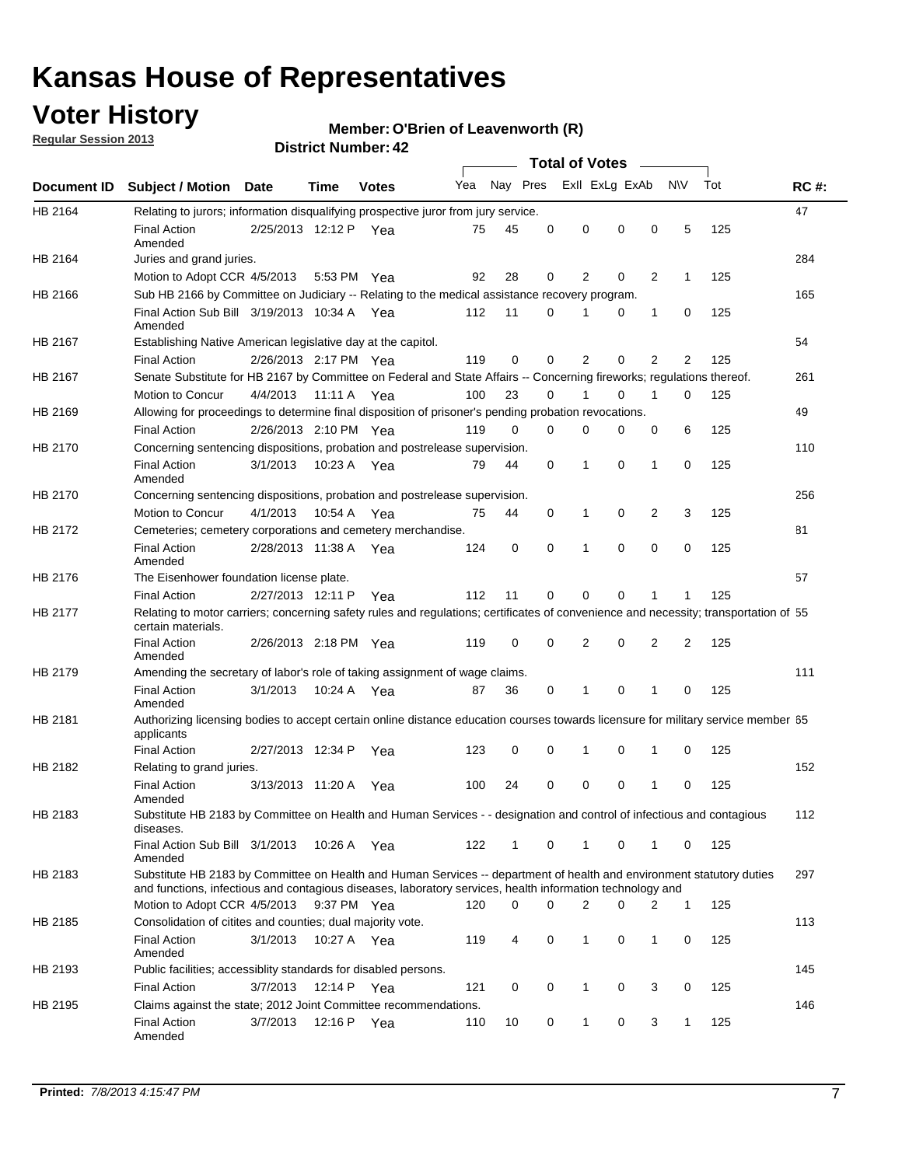## **Voter History**

**Regular Session 2013**

#### **Member: O'Brien of Leavenworth (R)**

|             |                                                                                                                                                                                                                                    |                       |             |              |     |              |   | <b>Total of Votes</b> |          | $\sim$         |                |     |     |
|-------------|------------------------------------------------------------------------------------------------------------------------------------------------------------------------------------------------------------------------------------|-----------------------|-------------|--------------|-----|--------------|---|-----------------------|----------|----------------|----------------|-----|-----|
| Document ID | Subject / Motion Date                                                                                                                                                                                                              |                       | <b>Time</b> | <b>Votes</b> | Yea | Nay Pres     |   | Exll ExLg ExAb        |          |                | <b>NV</b>      | Tot | RC# |
| HB 2164     | Relating to jurors; information disqualifying prospective juror from jury service.                                                                                                                                                 |                       |             |              |     |              |   |                       |          |                |                |     | 47  |
|             | <b>Final Action</b><br>Amended                                                                                                                                                                                                     | 2/25/2013 12:12 P Yea |             |              | 75  | 45           | 0 | 0                     | 0        | 0              | 5              | 125 |     |
| HB 2164     | Juries and grand juries.                                                                                                                                                                                                           |                       |             |              |     |              |   |                       |          |                |                |     | 284 |
|             | Motion to Adopt CCR 4/5/2013                                                                                                                                                                                                       |                       | 5:53 PM Yea |              | 92  | 28           | 0 | 2                     | 0        | 2              | 1              | 125 |     |
| HB 2166     | Sub HB 2166 by Committee on Judiciary -- Relating to the medical assistance recovery program.                                                                                                                                      |                       |             |              |     |              |   |                       |          |                |                |     | 165 |
|             | Final Action Sub Bill 3/19/2013 10:34 A Yea<br>Amended                                                                                                                                                                             |                       |             |              | 112 | 11           | 0 |                       | 0        | 1              | 0              | 125 |     |
| HB 2167     | Establishing Native American legislative day at the capitol.                                                                                                                                                                       |                       |             |              |     |              |   |                       |          |                |                |     | 54  |
|             | <b>Final Action</b>                                                                                                                                                                                                                | 2/26/2013 2:17 PM Yea |             |              | 119 | 0            | 0 | 2                     | 0        | 2              | $\overline{2}$ | 125 |     |
| HB 2167     | Senate Substitute for HB 2167 by Committee on Federal and State Affairs -- Concerning fireworks; regulations thereof.                                                                                                              |                       |             |              |     |              |   |                       |          |                |                |     | 261 |
|             | Motion to Concur                                                                                                                                                                                                                   | 4/4/2013              | 11:11 A     | Yea          | 100 | 23           | 0 |                       | 0        | 1              | 0              | 125 |     |
| HB 2169     | Allowing for proceedings to determine final disposition of prisoner's pending probation revocations.                                                                                                                               |                       |             |              |     |              |   |                       |          |                |                |     | 49  |
|             | <b>Final Action</b>                                                                                                                                                                                                                | 2/26/2013 2:10 PM Yea |             |              | 119 | 0            | 0 | 0                     | 0        | 0              | 6              | 125 |     |
| HB 2170     | Concerning sentencing dispositions, probation and postrelease supervision.                                                                                                                                                         |                       |             |              |     |              |   |                       |          |                |                |     | 110 |
|             | <b>Final Action</b><br>Amended                                                                                                                                                                                                     | 3/1/2013              | 10:23 A Yea |              | 79  | 44           | 0 | $\mathbf 1$           | 0        | 1              | 0              | 125 |     |
| HB 2170     | Concerning sentencing dispositions, probation and postrelease supervision.                                                                                                                                                         |                       |             |              |     |              |   |                       |          |                |                |     | 256 |
|             | Motion to Concur                                                                                                                                                                                                                   | 4/1/2013              | 10:54 A Yea |              | 75  | 44           | 0 | 1                     | 0        | $\overline{2}$ | 3              | 125 |     |
| HB 2172     | Cemeteries; cemetery corporations and cemetery merchandise.                                                                                                                                                                        |                       |             |              |     |              |   |                       |          |                |                |     | 81  |
|             | <b>Final Action</b><br>Amended                                                                                                                                                                                                     | 2/28/2013 11:38 A Yea |             |              | 124 | 0            | 0 | 1                     | $\Omega$ | $\Omega$       | $\mathbf 0$    | 125 |     |
| HB 2176     | The Eisenhower foundation license plate.                                                                                                                                                                                           |                       |             |              |     |              |   |                       |          |                |                |     | 57  |
|             | <b>Final Action</b>                                                                                                                                                                                                                | 2/27/2013 12:11 P     |             | Yea          | 112 | 11           | 0 | 0                     | 0        | 1              | 1              | 125 |     |
| HB 2177     | Relating to motor carriers; concerning safety rules and regulations; certificates of convenience and necessity; transportation of 55<br>certain materials.                                                                         |                       |             |              |     |              |   |                       |          |                |                |     |     |
|             | <b>Final Action</b><br>Amended                                                                                                                                                                                                     | 2/26/2013 2:18 PM Yea |             |              | 119 | 0            | 0 | 2                     | 0        | 2              | 2              | 125 |     |
| HB 2179     | Amending the secretary of labor's role of taking assignment of wage claims.                                                                                                                                                        |                       |             |              |     |              |   |                       |          |                |                |     | 111 |
|             | <b>Final Action</b><br>Amended                                                                                                                                                                                                     | 3/1/2013              | 10:24 A Yea |              | 87  | 36           | 0 | $\mathbf 1$           | $\Omega$ | 1              | 0              | 125 |     |
| HB 2181     | Authorizing licensing bodies to accept certain online distance education courses towards licensure for military service member 55<br>applicants                                                                                    |                       |             |              |     |              |   |                       |          |                |                |     |     |
|             | <b>Final Action</b>                                                                                                                                                                                                                | 2/27/2013 12:34 P     |             | Yea          | 123 | 0            | 0 | 1                     | 0        | 1              | 0              | 125 |     |
| HB 2182     | Relating to grand juries.                                                                                                                                                                                                          |                       |             |              |     |              |   |                       |          |                |                |     | 152 |
|             | <b>Final Action</b><br>Amended                                                                                                                                                                                                     | 3/13/2013 11:20 A     |             | Yea          | 100 | 24           | 0 | 0                     | 0        | 1              | 0              | 125 |     |
| HB 2183     | Substitute HB 2183 by Committee on Health and Human Services - - designation and control of infectious and contagious<br>diseases.                                                                                                 |                       |             |              |     |              |   |                       |          |                |                |     | 112 |
|             | Final Action Sub Bill 3/1/2013<br>Amended                                                                                                                                                                                          |                       | 10:26 A Yea |              | 122 | $\mathbf{1}$ | 0 | $\mathbf{1}$          | 0        | 1              | 0              | 125 |     |
| HB 2183     | Substitute HB 2183 by Committee on Health and Human Services -- department of health and environment statutory duties<br>and functions, infectious and contagious diseases, laboratory services, health information technology and |                       |             |              |     |              |   |                       |          |                |                |     | 297 |
|             | Motion to Adopt CCR 4/5/2013                                                                                                                                                                                                       |                       | 9:37 PM Yea |              | 120 | 0            | 0 | 2                     | 0        | 2              | $\mathbf{1}$   | 125 |     |
| HB 2185     | Consolidation of citites and counties; dual majority vote.                                                                                                                                                                         |                       |             |              |     |              |   |                       |          |                |                |     | 113 |
|             | <b>Final Action</b><br>Amended                                                                                                                                                                                                     | 3/1/2013              | 10:27 A Yea |              | 119 | 4            | 0 | $\mathbf{1}$          | 0        | $\mathbf{1}$   | 0              | 125 |     |
| HB 2193     | Public facilities; accessiblity standards for disabled persons.                                                                                                                                                                    |                       |             |              |     |              |   |                       |          |                |                |     | 145 |
|             | <b>Final Action</b>                                                                                                                                                                                                                | 3/7/2013              | 12:14 P     | Yea          | 121 | 0            | 0 | 1                     | 0        | 3              | 0              | 125 |     |
| HB 2195     | Claims against the state; 2012 Joint Committee recommendations.                                                                                                                                                                    |                       |             |              |     |              |   |                       |          |                |                |     | 146 |
|             | <b>Final Action</b><br>Amended                                                                                                                                                                                                     | 3/7/2013              | 12:16 P Yea |              | 110 | 10           | 0 | $\mathbf{1}$          | 0        | 3              | 1              | 125 |     |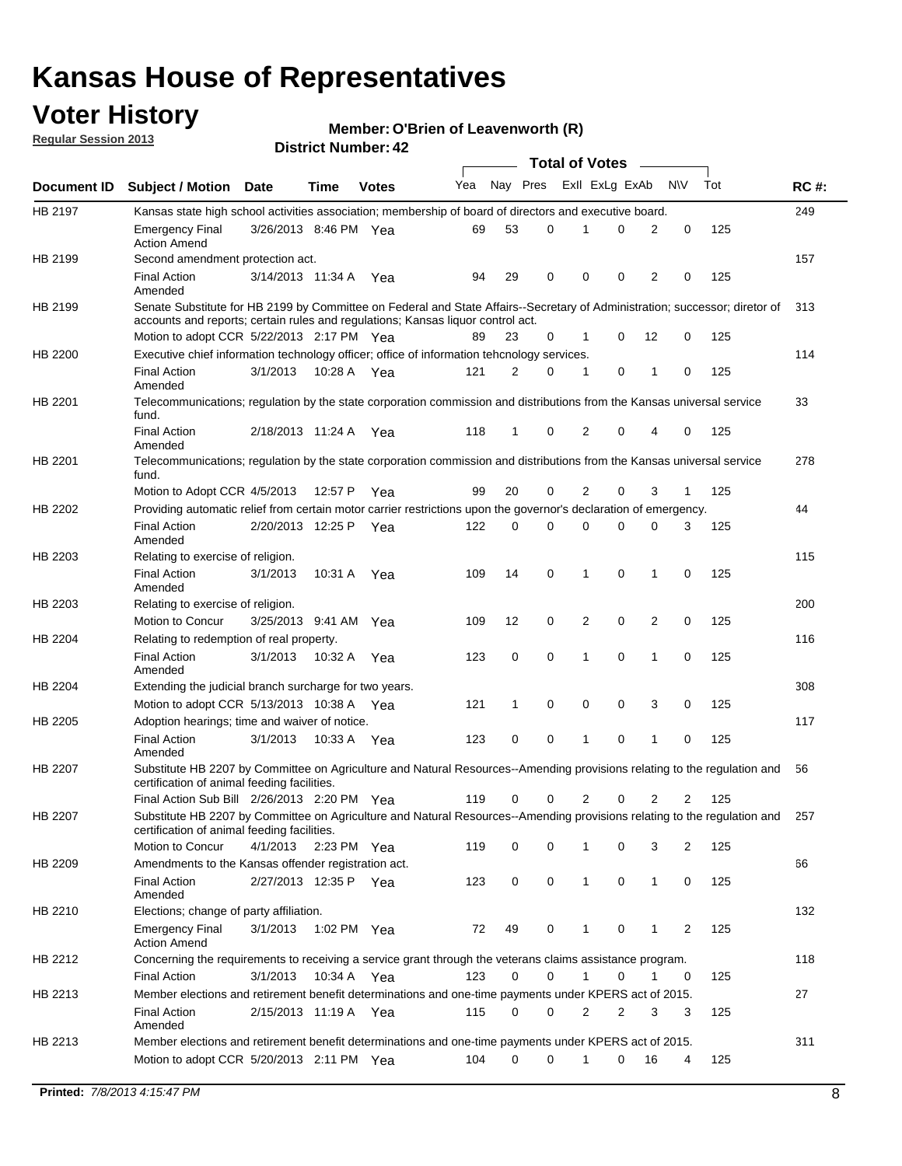## **Voter History**

**Member: O'Brien of Leavenworth (R)** 

**Regular Session 2013**

|             |                                                                                                                                                                                                                |                       |             |              |     |              |   | <b>Total of Votes</b> |             |                |                |     |             |
|-------------|----------------------------------------------------------------------------------------------------------------------------------------------------------------------------------------------------------------|-----------------------|-------------|--------------|-----|--------------|---|-----------------------|-------------|----------------|----------------|-----|-------------|
| Document ID | <b>Subject / Motion Date</b>                                                                                                                                                                                   |                       | Time        | <b>Votes</b> | Yea | Nay Pres     |   | Exll ExLg ExAb        |             |                | <b>NV</b>      | Tot | <b>RC#:</b> |
| HB 2197     | Kansas state high school activities association; membership of board of directors and executive board.                                                                                                         |                       |             |              |     |              |   |                       |             |                |                |     | 249         |
|             | <b>Emergency Final</b><br><b>Action Amend</b>                                                                                                                                                                  | 3/26/2013 8:46 PM Yea |             |              | 69  | 53           | 0 |                       | 0           | 2              | 0              | 125 |             |
| HB 2199     | Second amendment protection act.                                                                                                                                                                               |                       |             |              |     |              |   |                       |             |                |                |     | 157         |
|             | <b>Final Action</b><br>Amended                                                                                                                                                                                 | 3/14/2013 11:34 A     |             | Yea          | 94  | 29           | 0 | 0                     | 0           | 2              | 0              | 125 |             |
| HB 2199     | Senate Substitute for HB 2199 by Committee on Federal and State Affairs--Secretary of Administration; successor; diretor of<br>accounts and reports; certain rules and regulations; Kansas liquor control act. |                       |             |              |     |              |   |                       |             |                |                |     | 313         |
|             | Motion to adopt CCR 5/22/2013 2:17 PM Yea                                                                                                                                                                      |                       |             |              | 89  | 23           | 0 | 1                     | 0           | 12             | 0              | 125 |             |
| HB 2200     | Executive chief information technology officer; office of information tehcnology services.                                                                                                                     |                       |             |              |     |              |   |                       |             |                |                |     | 114         |
|             | <b>Final Action</b><br>Amended                                                                                                                                                                                 | 3/1/2013              | 10:28 A     | Yea          | 121 | 2            | 0 | $\mathbf 1$           | 0           | 1              | 0              | 125 |             |
| HB 2201     | Telecommunications; regulation by the state corporation commission and distributions from the Kansas universal service<br>fund.                                                                                |                       |             |              |     |              |   |                       |             |                |                |     | 33          |
|             | <b>Final Action</b><br>Amended                                                                                                                                                                                 | 2/18/2013 11:24 A Yea |             |              | 118 | $\mathbf{1}$ | 0 | $\overline{2}$        | 0           | 4              | 0              | 125 |             |
| HB 2201     | Telecommunications; regulation by the state corporation commission and distributions from the Kansas universal service<br>fund.                                                                                |                       |             |              |     |              |   |                       |             |                |                |     | 278         |
|             | Motion to Adopt CCR 4/5/2013                                                                                                                                                                                   |                       | 12:57 P     | Yea          | 99  | 20           | 0 | 2                     | 0           | 3              | 1              | 125 |             |
| HB 2202     | Providing automatic relief from certain motor carrier restrictions upon the governor's declaration of emergency.                                                                                               |                       |             |              |     |              |   |                       |             |                |                |     | 44          |
|             | <b>Final Action</b><br>Amended                                                                                                                                                                                 | 2/20/2013 12:25 P     |             | Yea          | 122 | 0            | 0 | 0                     | 0           | 0              | 3              | 125 |             |
| HB 2203     | Relating to exercise of religion.                                                                                                                                                                              |                       |             |              |     |              |   |                       |             |                |                |     | 115         |
|             | <b>Final Action</b><br>Amended                                                                                                                                                                                 | 3/1/2013              | 10:31 A Yea |              | 109 | 14           | 0 | $\mathbf 1$           | 0           | 1              | 0              | 125 |             |
| HB 2203     | Relating to exercise of religion.                                                                                                                                                                              |                       |             |              |     |              |   |                       |             |                |                |     | 200         |
|             | Motion to Concur                                                                                                                                                                                               | 3/25/2013 9:41 AM     |             | Yea          | 109 | 12           | 0 | 2                     | 0           | 2              | 0              | 125 |             |
| HB 2204     | Relating to redemption of real property.                                                                                                                                                                       |                       |             |              |     |              |   |                       |             |                |                |     | 116         |
|             | <b>Final Action</b><br>Amended                                                                                                                                                                                 | 3/1/2013              | 10:32 A     | Yea          | 123 | 0            | 0 | 1                     | $\mathbf 0$ | $\mathbf{1}$   | $\mathbf 0$    | 125 |             |
| HB 2204     | Extending the judicial branch surcharge for two years.                                                                                                                                                         |                       |             |              |     |              |   |                       |             |                |                |     | 308         |
|             | Motion to adopt CCR 5/13/2013 10:38 A Yea                                                                                                                                                                      |                       |             |              | 121 | 1            | 0 | 0                     | 0           | 3              | 0              | 125 |             |
| HB 2205     | Adoption hearings; time and waiver of notice.                                                                                                                                                                  |                       |             |              |     |              |   |                       |             |                |                |     | 117         |
|             | <b>Final Action</b><br>Amended                                                                                                                                                                                 | 3/1/2013              | 10:33 A Yea |              | 123 | 0            | 0 | 1                     | 0           | 1              | 0              | 125 |             |
| HB 2207     | Substitute HB 2207 by Committee on Agriculture and Natural Resources--Amending provisions relating to the regulation and<br>certification of animal feeding facilities.                                        |                       |             |              |     |              |   |                       |             |                |                |     | 56          |
|             | Final Action Sub Bill 2/26/2013 2:20 PM Yea                                                                                                                                                                    |                       |             |              | 119 | 0            | 0 | 2                     | 0           | $\overline{2}$ | $\overline{2}$ | 125 |             |
| HB 2207     | Substitute HB 2207 by Committee on Agriculture and Natural Resources--Amending provisions relating to the regulation and 257<br>certification of animal feeding facilities.                                    |                       |             |              |     |              |   |                       |             |                |                |     |             |
|             | Motion to Concur                                                                                                                                                                                               | 4/1/2013              | 2:23 PM Yea |              | 119 | 0            | 0 | 1                     | 0           | 3              | 2              | 125 |             |
| HB 2209     | Amendments to the Kansas offender registration act.                                                                                                                                                            |                       |             |              |     |              |   |                       |             |                |                |     | 66          |
|             | <b>Final Action</b><br>Amended                                                                                                                                                                                 | 2/27/2013 12:35 P Yea |             |              | 123 | 0            | 0 | $\mathbf{1}$          | 0           | $\mathbf{1}$   | 0              | 125 |             |
| HB 2210     | Elections; change of party affiliation.                                                                                                                                                                        |                       |             |              |     |              |   |                       |             |                |                |     | 132         |
|             | <b>Emergency Final</b><br><b>Action Amend</b>                                                                                                                                                                  | 3/1/2013              | 1:02 PM Yea |              | 72  | 49           | 0 | 1                     | 0           | 1              | 2              | 125 |             |
| HB 2212     | Concerning the requirements to receiving a service grant through the veterans claims assistance program.<br><b>Final Action</b>                                                                                | 3/1/2013              | 10:34 A Yea |              | 123 | 0            | 0 | $\mathbf{1}$          | 0           | 1              | 0              | 125 | 118         |
| HB 2213     | Member elections and retirement benefit determinations and one-time payments under KPERS act of 2015.                                                                                                          |                       |             |              |     |              |   |                       |             |                |                |     | 27          |
|             | <b>Final Action</b><br>Amended                                                                                                                                                                                 | 2/15/2013 11:19 A Yea |             |              | 115 | 0            | 0 | 2                     | 2           | 3              | 3              | 125 |             |
| HB 2213     | Member elections and retirement benefit determinations and one-time payments under KPERS act of 2015.                                                                                                          |                       |             |              |     |              |   |                       |             |                |                |     | 311         |
|             | Motion to adopt CCR 5/20/2013 2:11 PM Yea                                                                                                                                                                      |                       |             |              | 104 | 0            | 0 | 1                     | 0           | 16             | 4              | 125 |             |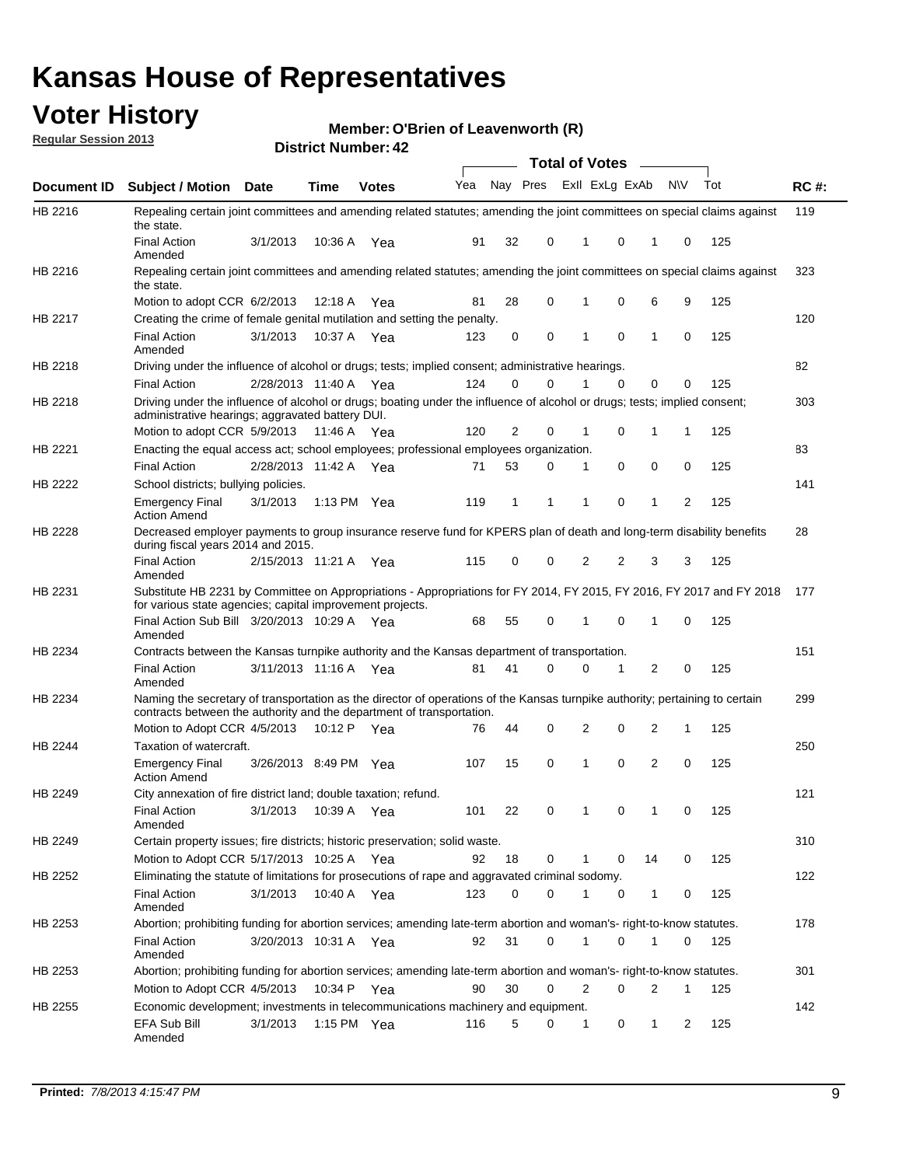## **Voter History**

**O'Brien of Leavenworth (R)**

**Regular Session 2013**

|             |                                                                                                                                                                                                       |                       |         | DISTRICT NUMBER: 42 |     |          |          |          | Total of Votes – |                |              |     |             |
|-------------|-------------------------------------------------------------------------------------------------------------------------------------------------------------------------------------------------------|-----------------------|---------|---------------------|-----|----------|----------|----------|------------------|----------------|--------------|-----|-------------|
| Document ID | <b>Subject / Motion</b>                                                                                                                                                                               | <b>Date</b>           | Time    | <b>Votes</b>        | Yea | Nay Pres |          |          | Exll ExLg ExAb   |                | N\V          | Tot | <b>RC#:</b> |
| HB 2216     | Repealing certain joint committees and amending related statutes; amending the joint committees on special claims against<br>the state.                                                               |                       |         |                     |     |          |          |          |                  |                |              |     | 119         |
|             | <b>Final Action</b><br>Amended                                                                                                                                                                        | 3/1/2013              | 10:36 A | Yea                 | 91  | 32       | 0        | 1        | 0                | 1              | 0            | 125 |             |
| HB 2216     | Repealing certain joint committees and amending related statutes; amending the joint committees on special claims against<br>the state.                                                               |                       |         |                     |     |          |          |          |                  |                |              |     | 323         |
|             | Motion to adopt CCR 6/2/2013                                                                                                                                                                          |                       | 12:18 A | Yea                 | 81  | 28       | 0        |          | 0                | 6              | 9            | 125 |             |
| HB 2217     | Creating the crime of female genital mutilation and setting the penalty.                                                                                                                              |                       |         |                     |     |          |          |          |                  |                |              |     | 120         |
|             | <b>Final Action</b><br>Amended                                                                                                                                                                        | 3/1/2013              |         | 10:37 A Yea         | 123 | 0        | 0        | 1        | 0                | $\mathbf{1}$   | 0            | 125 |             |
| HB 2218     | Driving under the influence of alcohol or drugs; tests; implied consent; administrative hearings.                                                                                                     |                       |         |                     |     |          |          |          |                  |                |              |     | 82          |
|             | <b>Final Action</b>                                                                                                                                                                                   | 2/28/2013 11:40 A Yea |         |                     | 124 | 0        | $\Omega$ | 1        | 0                | 0              | $\Omega$     | 125 |             |
| HB 2218     | Driving under the influence of alcohol or drugs; boating under the influence of alcohol or drugs; tests; implied consent;<br>administrative hearings; aggravated battery DUI.                         |                       |         |                     |     |          |          |          |                  |                |              |     | 303         |
|             | Motion to adopt CCR 5/9/2013                                                                                                                                                                          |                       | 11:46 A | Yea                 | 120 | 2        | 0        | 1        | 0                | 1              | 1            | 125 |             |
| HB 2221     | Enacting the equal access act; school employees; professional employees organization.                                                                                                                 |                       |         |                     |     |          |          |          |                  |                |              |     | 83          |
|             | <b>Final Action</b>                                                                                                                                                                                   | 2/28/2013 11:42 A     |         | Yea                 | 71  | 53       | 0        | 1        | 0                | 0              | 0            | 125 |             |
| HB 2222     | School districts; bullying policies.                                                                                                                                                                  |                       |         |                     |     |          |          |          |                  |                |              |     | 141         |
|             | <b>Emergency Final</b><br><b>Action Amend</b>                                                                                                                                                         | 3/1/2013              |         | 1:13 PM Yea         | 119 | 1        | 1        | 1        | 0                | 1              | 2            | 125 |             |
| HB 2228     | Decreased employer payments to group insurance reserve fund for KPERS plan of death and long-term disability benefits<br>during fiscal years 2014 and 2015.                                           |                       |         |                     |     |          |          |          |                  |                |              |     | 28          |
|             | <b>Final Action</b><br>Amended                                                                                                                                                                        | 2/15/2013 11:21 A     |         | Yea                 | 115 | 0        | 0        | 2        | $\overline{2}$   | 3              | 3            | 125 |             |
| HB 2231     | Substitute HB 2231 by Committee on Appropriations - Appropriations for FY 2014, FY 2015, FY 2016, FY 2017 and FY 2018<br>for various state agencies; capital improvement projects.                    |                       |         |                     |     |          |          |          |                  |                |              |     | 177         |
|             | Final Action Sub Bill 3/20/2013 10:29 A Yea<br>Amended                                                                                                                                                |                       |         |                     | 68  | 55       | 0        |          | 0                | 1              | 0            | 125 |             |
| HB 2234     | Contracts between the Kansas turnpike authority and the Kansas department of transportation.                                                                                                          |                       |         |                     |     |          |          |          |                  |                |              |     | 151         |
|             | <b>Final Action</b><br>Amended                                                                                                                                                                        | 3/11/2013 11:16 A Yea |         |                     | 81  | 41       | $\Omega$ | $\Omega$ | 1                | $\overline{2}$ | 0            | 125 |             |
| HB 2234     | Naming the secretary of transportation as the director of operations of the Kansas turnpike authority; pertaining to certain<br>contracts between the authority and the department of transportation. |                       |         |                     |     |          |          |          |                  |                |              |     | 299         |
|             | Motion to Adopt CCR 4/5/2013                                                                                                                                                                          |                       | 10:12 P | Yea                 | 76  | 44       | 0        | 2        | 0                | 2              | $\mathbf{1}$ | 125 |             |
| HB 2244     | Taxation of watercraft.<br><b>Emergency Final</b>                                                                                                                                                     | 3/26/2013 8:49 PM Yea |         |                     | 107 | 15       | 0        | 1        | 0                | 2              | 0            | 125 | 250         |
|             | <b>Action Amend</b>                                                                                                                                                                                   |                       |         |                     |     |          |          |          |                  |                |              |     |             |
| HB 2249     | City annexation of fire district land; double taxation; refund.                                                                                                                                       |                       |         |                     |     |          |          |          |                  |                |              |     | 121         |
|             | <b>Final Action</b><br>Amended                                                                                                                                                                        | 3/1/2013 10:39 A Yea  |         |                     | 101 | 22       | 0        |          | 0                |                | 0            | 125 |             |
| HB 2249     | Certain property issues; fire districts; historic preservation; solid waste.                                                                                                                          |                       |         |                     |     |          |          |          |                  |                |              |     | 310         |
|             | Motion to Adopt CCR 5/17/2013 10:25 A Yea                                                                                                                                                             |                       |         |                     | 92  | 18       | 0        | 1        | 0                | 14             | 0            | 125 |             |
| HB 2252     | Eliminating the statute of limitations for prosecutions of rape and aggravated criminal sodomy.                                                                                                       |                       |         |                     |     |          |          |          |                  |                |              |     | 122         |
|             | <b>Final Action</b><br>Amended                                                                                                                                                                        | 3/1/2013              |         | 10:40 A Yea         | 123 | 0        | 0        | 1        | 0                | $\mathbf{1}$   | 0            | 125 |             |
| HB 2253     | Abortion; prohibiting funding for abortion services; amending late-term abortion and woman's- right-to-know statutes.                                                                                 |                       |         |                     |     |          |          |          |                  |                |              |     | 178         |
|             | <b>Final Action</b><br>Amended                                                                                                                                                                        | 3/20/2013 10:31 A Yea |         |                     | 92  | 31       | 0        | 1        | 0                | 1              | 0            | 125 |             |
| HB 2253     | Abortion; prohibiting funding for abortion services; amending late-term abortion and woman's- right-to-know statutes.                                                                                 |                       |         |                     |     |          |          |          |                  |                |              |     | 301         |
|             | Motion to Adopt CCR 4/5/2013                                                                                                                                                                          |                       | 10:34 P | Yea                 | 90  | 30       | 0        | 2        | 0                | 2              | $\mathbf{1}$ | 125 |             |
| HB 2255     | Economic development; investments in telecommunications machinery and equipment.                                                                                                                      |                       |         |                     |     |          |          |          |                  |                |              |     | 142         |
|             | EFA Sub Bill<br>Amended                                                                                                                                                                               | 3/1/2013              |         | 1:15 PM $Yea$       | 116 | 5        | 0        | 1        | 0                | 1              | 2            | 125 |             |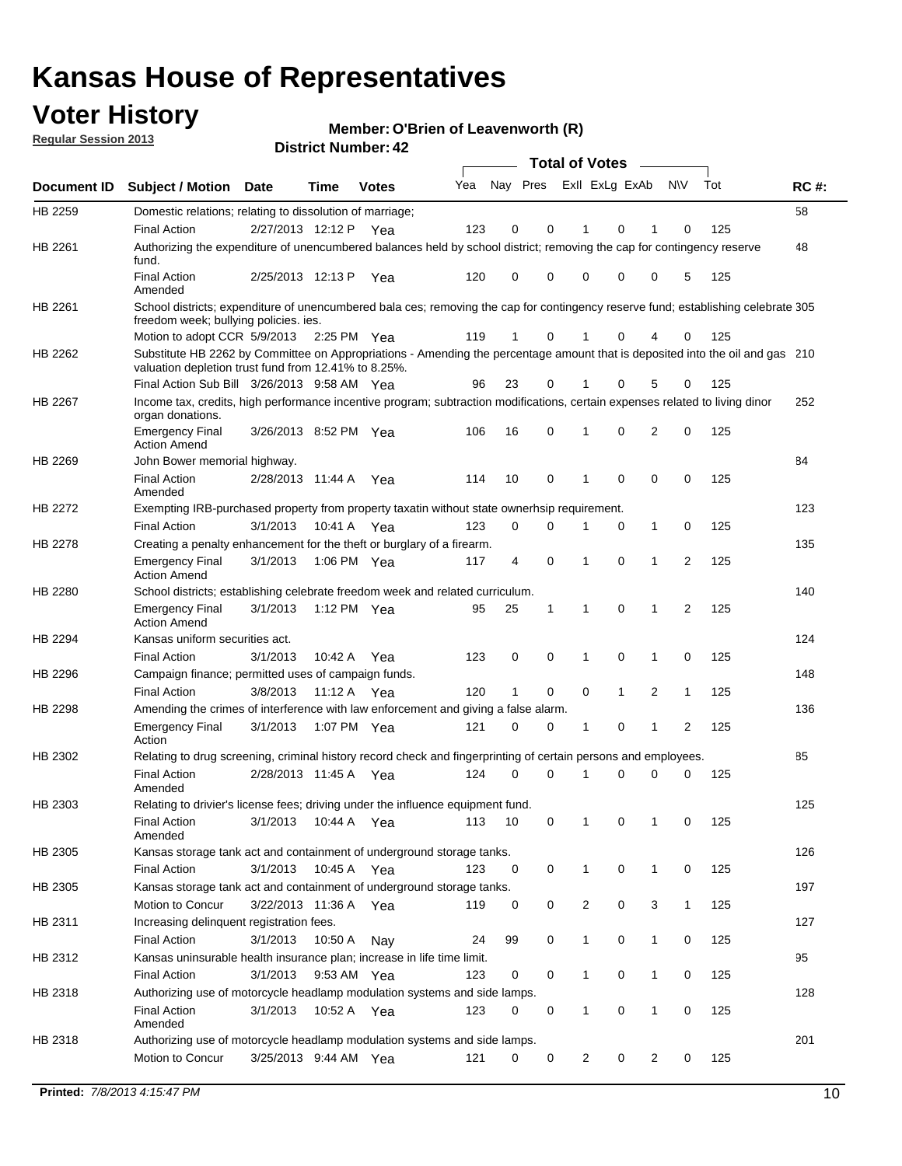## **Voter History**

**O'Brien of Leavenworth (R)**

**Regular Session 2013**

|             |                                                                                                                                                                                       |                       |               | DISTRICT NUMBER 42 |     |              |             |              | <b>Total of Votes</b> | $\sim$       |              |     |             |
|-------------|---------------------------------------------------------------------------------------------------------------------------------------------------------------------------------------|-----------------------|---------------|--------------------|-----|--------------|-------------|--------------|-----------------------|--------------|--------------|-----|-------------|
| Document ID | <b>Subject / Motion</b>                                                                                                                                                               | Date                  | Time          | <b>Votes</b>       | Yea | Nay Pres     |             |              | Exll ExLg ExAb        |              | N\V          | Tot | <b>RC#:</b> |
| HB 2259     | Domestic relations; relating to dissolution of marriage;                                                                                                                              |                       |               |                    |     |              |             |              |                       |              |              |     | 58          |
|             | <b>Final Action</b>                                                                                                                                                                   | 2/27/2013 12:12 P     |               | Yea                | 123 | 0            | 0           | 1            | 0                     | 1            | 0            | 125 |             |
| HB 2261     | Authorizing the expenditure of unencumbered balances held by school district; removing the cap for contingency reserve<br>fund.                                                       |                       |               |                    |     |              |             |              |                       |              |              |     | 48          |
|             | <b>Final Action</b><br>Amended                                                                                                                                                        | 2/25/2013 12:13 P     |               | Yea                | 120 | 0            | 0           | 0            | 0                     | 0            | 5            | 125 |             |
| HB 2261     | School districts; expenditure of unencumbered bala ces; removing the cap for contingency reserve fund; establishing celebrate 305<br>freedom week; bullying policies. ies.            |                       |               |                    |     |              |             |              |                       |              |              |     |             |
|             | Motion to adopt CCR 5/9/2013 2:25 PM Yea                                                                                                                                              |                       |               |                    | 119 | 1            | 0           |              | 0                     | 4            | 0            | 125 |             |
| HB 2262     | Substitute HB 2262 by Committee on Appropriations - Amending the percentage amount that is deposited into the oil and gas 210<br>valuation depletion trust fund from 12.41% to 8.25%. |                       |               |                    |     |              |             |              |                       |              |              |     |             |
|             | Final Action Sub Bill 3/26/2013 9:58 AM Yea                                                                                                                                           |                       |               |                    | 96  | 23           | 0           | 1            | 0                     | 5            | 0            | 125 |             |
| HB 2267     | Income tax, credits, high performance incentive program; subtraction modifications, certain expenses related to living dinor<br>organ donations.                                      |                       |               |                    |     |              |             |              |                       |              |              |     | 252         |
|             | <b>Emergency Final</b><br><b>Action Amend</b>                                                                                                                                         | 3/26/2013 8:52 PM Yea |               |                    | 106 | 16           | 0           | 1            | 0                     | 2            | 0            | 125 |             |
| HB 2269     | John Bower memorial highway.                                                                                                                                                          |                       |               |                    |     |              |             |              |                       |              |              |     | 84          |
|             | <b>Final Action</b><br>Amended                                                                                                                                                        | 2/28/2013 11:44 A     |               | Yea                | 114 | 10           | 0           | 1            | 0                     | 0            | 0            | 125 |             |
| HB 2272     | Exempting IRB-purchased property from property taxatin without state ownerhsip requirement.                                                                                           |                       |               |                    |     |              |             |              |                       |              |              |     | 123         |
|             | <b>Final Action</b>                                                                                                                                                                   | 3/1/2013              | 10:41 A Yea   |                    | 123 | 0            | 0           | 1            | 0                     | 1            | 0            | 125 |             |
| HB 2278     | Creating a penalty enhancement for the theft or burglary of a firearm.                                                                                                                |                       |               |                    |     |              |             |              |                       |              |              |     | 135         |
|             | Emergency Final<br><b>Action Amend</b>                                                                                                                                                | 3/1/2013              | 1:06 PM Yea   |                    | 117 | 4            | $\mathbf 0$ | 1            | 0                     | 1            | 2            | 125 |             |
| HB 2280     | School districts; establishing celebrate freedom week and related curriculum.                                                                                                         |                       |               |                    |     |              |             |              |                       |              |              |     | 140         |
|             | <b>Emergency Final</b><br><b>Action Amend</b>                                                                                                                                         | 3/1/2013              | 1:12 PM $Yea$ |                    | 95  | 25           | 1           | 1            | 0                     | $\mathbf 1$  | 2            | 125 |             |
| HB 2294     | Kansas uniform securities act.                                                                                                                                                        |                       |               |                    |     |              |             |              |                       |              |              |     | 124         |
|             | <b>Final Action</b>                                                                                                                                                                   | 3/1/2013              | 10:42 A       | Yea                | 123 | 0            | 0           | 1            | 0                     | 1            | 0            | 125 |             |
| HB 2296     | Campaign finance; permitted uses of campaign funds.                                                                                                                                   |                       |               |                    |     |              |             |              |                       |              |              |     | 148         |
|             | <b>Final Action</b>                                                                                                                                                                   | 3/8/2013              | 11:12A        | Yea                | 120 | $\mathbf{1}$ | 0           | 0            | $\mathbf{1}$          | 2            | $\mathbf{1}$ | 125 |             |
| HB 2298     | Amending the crimes of interference with law enforcement and giving a false alarm.                                                                                                    |                       |               |                    |     |              |             |              |                       |              |              |     | 136         |
|             | <b>Emergency Final</b><br>Action                                                                                                                                                      | 3/1/2013              | 1:07 PM Yea   |                    | 121 | 0            | 0           | 1            | 0                     | 1            | 2            | 125 |             |
| HB 2302     | Relating to drug screening, criminal history record check and fingerprinting of certain persons and employees.                                                                        |                       |               |                    |     |              |             |              |                       |              |              |     | 85          |
|             | <b>Final Action</b><br>Amended                                                                                                                                                        | 2/28/2013 11:45 A     |               | Yea                | 124 | 0            | $\Omega$    |              | 0                     | $\Omega$     | $\Omega$     | 125 |             |
| HB 2303     | Relating to drivier's license fees; driving under the influence equipment fund.                                                                                                       |                       |               |                    |     |              |             |              |                       |              |              |     | 125         |
|             | <b>Final Action</b><br>Amended                                                                                                                                                        | 3/1/2013              | 10:44 A Yea   |                    | 113 | 10           | 0           |              | 0                     | 1            | 0            | 125 |             |
| HB 2305     | Kansas storage tank act and containment of underground storage tanks.                                                                                                                 |                       |               |                    |     |              |             |              |                       |              |              |     | 126         |
|             | <b>Final Action</b>                                                                                                                                                                   | 3/1/2013              | 10:45 A       | Yea                | 123 | 0            | 0           | $\mathbf{1}$ | 0                     | $\mathbf{1}$ | 0            | 125 |             |
| HB 2305     | Kansas storage tank act and containment of underground storage tanks.                                                                                                                 |                       |               |                    |     |              |             |              |                       |              |              |     | 197         |
|             | Motion to Concur                                                                                                                                                                      | 3/22/2013 11:36 A     |               | Yea                | 119 | 0            | 0           | 2            | 0                     | 3            | $\mathbf{1}$ | 125 |             |
| HB 2311     | Increasing delinquent registration fees.                                                                                                                                              |                       |               |                    |     |              |             |              |                       |              |              |     | 127         |
|             | <b>Final Action</b>                                                                                                                                                                   | 3/1/2013              | 10:50 A       | Nay                | 24  | 99           | 0           | $\mathbf{1}$ | 0                     | 1            | 0            | 125 |             |
| HB 2312     | Kansas uninsurable health insurance plan; increase in life time limit.                                                                                                                |                       |               |                    |     |              |             |              |                       |              |              |     | 95          |
|             | <b>Final Action</b>                                                                                                                                                                   | 3/1/2013              | 9:53 AM Yea   |                    | 123 | 0            | 0           | $\mathbf{1}$ | 0                     | 1            | 0            | 125 |             |
| HB 2318     | Authorizing use of motorcycle headlamp modulation systems and side lamps.                                                                                                             |                       |               |                    |     |              |             |              |                       |              |              |     | 128         |
|             | <b>Final Action</b><br>Amended                                                                                                                                                        | 3/1/2013              | 10:52 A Yea   |                    | 123 | 0            | 0           | 1            | 0                     | 1            | 0            | 125 |             |
| HB 2318     | Authorizing use of motorcycle headlamp modulation systems and side lamps.                                                                                                             |                       |               |                    |     |              |             |              |                       |              |              |     | 201         |
|             | Motion to Concur                                                                                                                                                                      | 3/25/2013 9:44 AM Yea |               |                    | 121 | 0            | 0           | 2            | 0                     | 2            | 0            | 125 |             |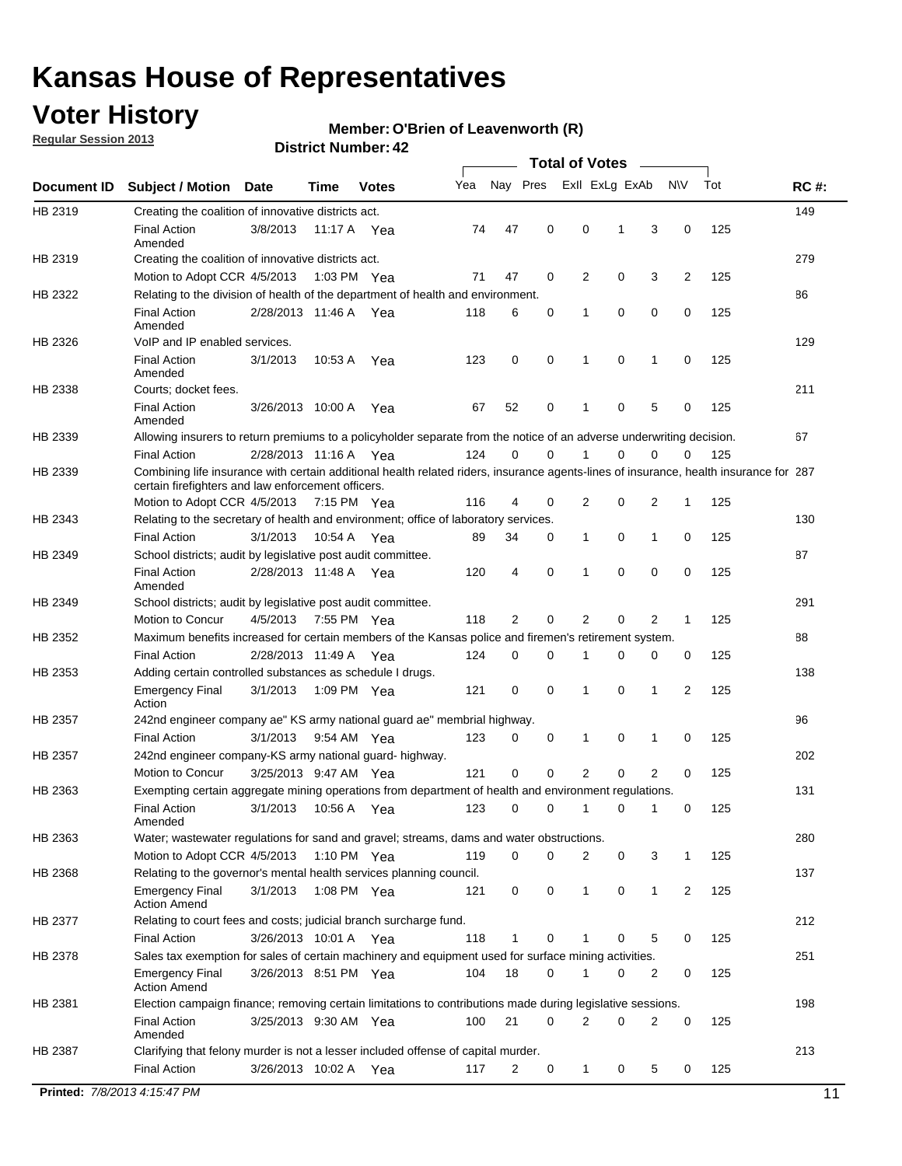## **Voter History**

**Regular Session 2013**

#### **Member: O'Brien of Leavenworth (R)**

|                |                                                                                                                                                                                             |                       |             |               |     |             |             | <b>Total of Votes</b> |             |                |             |     |             |
|----------------|---------------------------------------------------------------------------------------------------------------------------------------------------------------------------------------------|-----------------------|-------------|---------------|-----|-------------|-------------|-----------------------|-------------|----------------|-------------|-----|-------------|
| Document ID    | <b>Subject / Motion</b>                                                                                                                                                                     | Date                  | Time        | <b>Votes</b>  | Yea | Nay Pres    |             | Exll ExLg ExAb        |             |                | <b>NV</b>   | Tot | <b>RC#:</b> |
| HB 2319        | Creating the coalition of innovative districts act.                                                                                                                                         |                       |             |               |     |             |             |                       |             |                |             |     | 149         |
|                | <b>Final Action</b><br>Amended                                                                                                                                                              | 3/8/2013              | 11:17 A     | Yea           | 74  | 47          | 0           | 0                     | 1           | 3              | 0           | 125 |             |
| HB 2319        | Creating the coalition of innovative districts act.<br>Motion to Adopt CCR 4/5/2013                                                                                                         |                       |             | 1:03 PM Yea   | 71  | 47          | 0           | 2                     | 0           | 3              | 2           | 125 | 279         |
| HB 2322        | Relating to the division of health of the department of health and environment.                                                                                                             |                       |             |               |     |             |             |                       |             |                |             |     | 86          |
|                | <b>Final Action</b><br>Amended                                                                                                                                                              | 2/28/2013 11:46 A Yea |             |               | 118 | 6           | 0           | 1                     | 0           | 0              | 0           | 125 |             |
| HB 2326        | VoIP and IP enabled services.                                                                                                                                                               |                       |             |               |     |             |             |                       |             |                |             |     | 129         |
|                | <b>Final Action</b><br>Amended                                                                                                                                                              | 3/1/2013              | 10:53 A     | Yea           | 123 | $\mathbf 0$ | 0           | 1                     | $\mathbf 0$ | 1              | $\mathbf 0$ | 125 |             |
| HB 2338        | Courts; docket fees.                                                                                                                                                                        |                       |             |               |     |             |             |                       |             |                |             |     | 211         |
|                | <b>Final Action</b><br>Amended                                                                                                                                                              | 3/26/2013 10:00 A     |             | Yea           | 67  | 52          | 0           | $\mathbf 1$           | 0           | 5              | 0           | 125 |             |
| HB 2339        | Allowing insurers to return premiums to a policyholder separate from the notice of an adverse underwriting decision.                                                                        |                       |             |               |     |             |             |                       |             |                |             |     | 67          |
|                | <b>Final Action</b>                                                                                                                                                                         | 2/28/2013 11:16 A Yea |             |               | 124 | 0           | 0           | 1                     | 0           | 0              | 0           | 125 |             |
| HB 2339        | Combining life insurance with certain additional health related riders, insurance agents-lines of insurance, health insurance for 287<br>certain firefighters and law enforcement officers. |                       |             |               |     |             |             |                       |             |                |             |     |             |
|                | Motion to Adopt CCR 4/5/2013 7:15 PM Yea                                                                                                                                                    |                       |             |               | 116 | 4           | 0           | 2                     | 0           | 2              | 1           | 125 |             |
| HB 2343        | Relating to the secretary of health and environment; office of laboratory services.                                                                                                         |                       |             |               |     |             |             |                       |             |                |             |     | 130         |
|                | <b>Final Action</b>                                                                                                                                                                         | 3/1/2013              | 10:54 A Yea |               | 89  | 34          | 0           | $\mathbf{1}$          | 0           | 1              | 0           | 125 |             |
| HB 2349        | School districts; audit by legislative post audit committee.<br><b>Final Action</b>                                                                                                         | 2/28/2013 11:48 A Yea |             |               | 120 | 4           | 0           | 1                     | $\Omega$    | $\Omega$       | 0           | 125 | 87          |
|                | Amended                                                                                                                                                                                     |                       |             |               |     |             |             |                       |             |                |             |     |             |
| HB 2349        | School districts; audit by legislative post audit committee.                                                                                                                                |                       |             |               |     |             |             |                       |             |                |             |     | 291         |
|                | Motion to Concur                                                                                                                                                                            | 4/5/2013              |             | 7:55 PM Yea   | 118 | 2           | 0           | 2                     | 0           | 2              | 1           | 125 |             |
| HB 2352        | Maximum benefits increased for certain members of the Kansas police and firemen's retirement system.                                                                                        |                       |             |               |     |             |             |                       |             |                |             |     | 88          |
|                | <b>Final Action</b>                                                                                                                                                                         | 2/28/2013 11:49 A     |             | Yea           | 124 | 0           | 0           | 1                     | 0           | 0              | 0           | 125 |             |
| HB 2353        | Adding certain controlled substances as schedule I drugs.<br><b>Emergency Final</b><br>Action                                                                                               | 3/1/2013              |             | 1:09 PM Yea   | 121 | $\mathbf 0$ | 0           | 1                     | 0           | 1              | 2           | 125 | 138         |
| HB 2357        | 242nd engineer company ae" KS army national guard ae" membrial highway.                                                                                                                     |                       |             |               |     |             |             |                       |             |                |             |     | 96          |
|                | <b>Final Action</b>                                                                                                                                                                         | 3/1/2013              |             | 9:54 AM Yea   | 123 | 0           | 0           | 1                     | 0           | 1              | 0           | 125 |             |
| <b>HB 2357</b> | 242nd engineer company-KS army national guard- highway.                                                                                                                                     |                       |             |               |     |             |             |                       |             |                |             |     | 202         |
|                | Motion to Concur                                                                                                                                                                            | 3/25/2013 9:47 AM Yea |             |               | 121 | $\mathbf 0$ | $\mathbf 0$ | $\overline{2}$        | $\mathbf 0$ | $\overline{2}$ | 0           | 125 |             |
| HB 2363        | Exempting certain aggregate mining operations from department of health and environment regulations.                                                                                        |                       |             |               |     |             |             |                       |             |                |             |     | 131         |
|                | <b>Final Action</b><br>Amended                                                                                                                                                              | 3/1/2013              | 10:56 A     | Yea           | 123 | 0           | 0           | 1                     | 0           | 1              | 0           | 125 |             |
| HB 2363        | Water; wastewater regulations for sand and gravel; streams, dams and water obstructions.                                                                                                    |                       |             |               |     |             |             |                       |             |                |             |     | 280         |
|                | Motion to Adopt CCR 4/5/2013                                                                                                                                                                |                       |             | 1:10 PM $Yea$ | 119 | 0           | 0           | 2                     | 0           | 3              | 1           | 125 |             |
| HB 2368        | Relating to the governor's mental health services planning council.                                                                                                                         |                       |             |               |     |             |             |                       |             |                |             |     | 137         |
|                | <b>Emergency Final</b><br><b>Action Amend</b>                                                                                                                                               | 3/1/2013              |             | 1:08 PM Yea   | 121 | 0           | 0           | $\mathbf{1}$          | 0           | 1              | 2           | 125 |             |
| HB 2377        | Relating to court fees and costs; judicial branch surcharge fund.                                                                                                                           |                       |             |               |     |             |             |                       |             |                |             |     | 212         |
|                | <b>Final Action</b>                                                                                                                                                                         | 3/26/2013 10:01 A Yea |             |               | 118 | 1           | 0           |                       | 0           | 5              | 0           | 125 |             |
| HB 2378        | Sales tax exemption for sales of certain machinery and equipment used for surface mining activities.                                                                                        |                       |             |               |     |             |             |                       |             |                |             |     | 251         |
|                | <b>Emergency Final</b><br><b>Action Amend</b>                                                                                                                                               | 3/26/2013 8:51 PM Yea |             |               | 104 | 18          | 0           | 1                     | 0           | 2              | 0           | 125 |             |
| HB 2381        | Election campaign finance; removing certain limitations to contributions made during legislative sessions.                                                                                  |                       |             |               |     |             |             |                       |             |                |             |     | 198         |
|                | <b>Final Action</b><br>Amended                                                                                                                                                              | 3/25/2013 9:30 AM Yea |             |               | 100 | 21          | 0           | $\overline{2}$        | 0           | 2              | 0           | 125 |             |
| HB 2387        | Clarifying that felony murder is not a lesser included offense of capital murder.                                                                                                           |                       |             |               |     |             |             |                       |             |                |             |     | 213         |
|                | <b>Final Action</b>                                                                                                                                                                         | 3/26/2013 10:02 A     |             | Yea           | 117 | 2           | 0           | $\mathbf{1}$          | 0           | 5              | 0           | 125 |             |
|                | Printed: 7/8/2013 4:15:47 PM                                                                                                                                                                |                       |             |               |     |             |             |                       |             |                |             |     | 11          |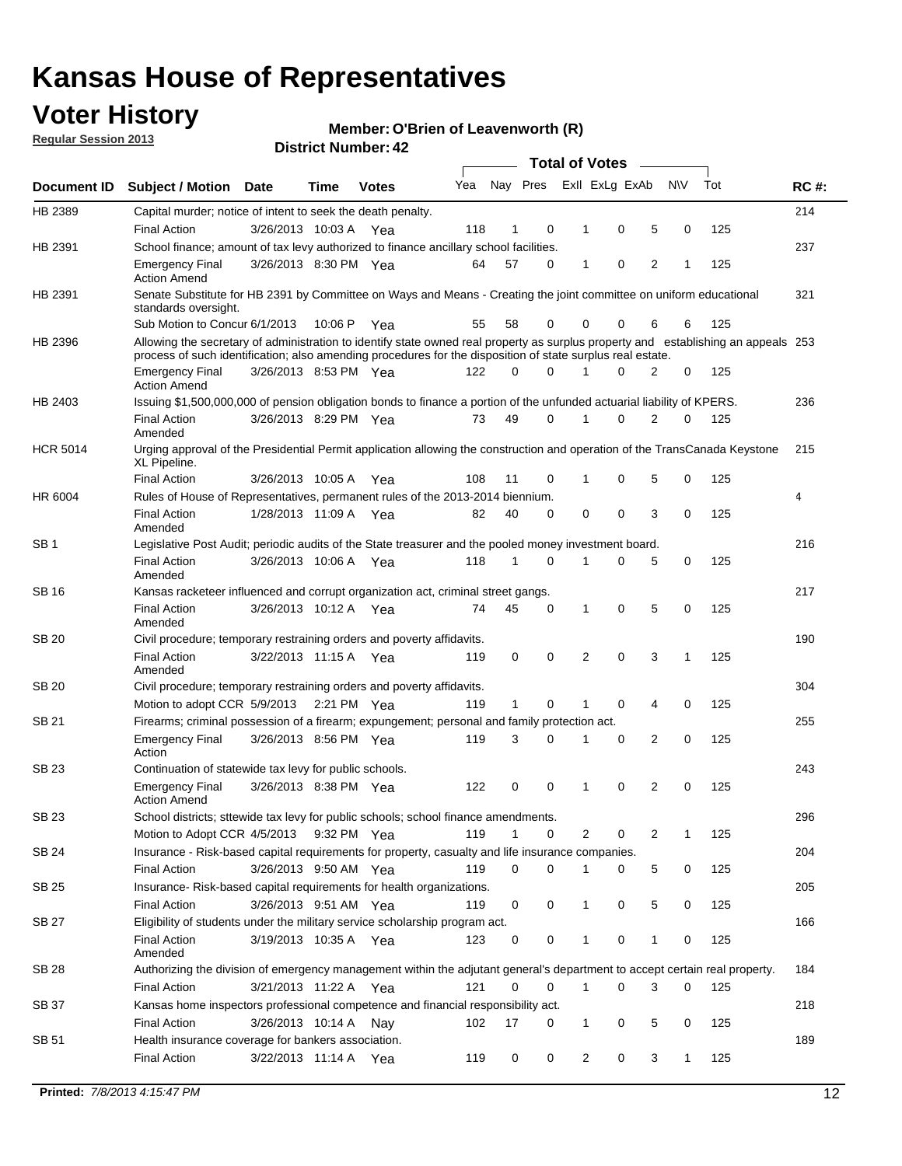## **Voter History**

**Member: O'Brien of Leavenworth (R)** 

**Regular Session 2013**

|                 |                                                                                                                                                                                                                                                  |                       |         |              |     |              |   | <b>Total of Votes</b> |   |   |              |     |             |
|-----------------|--------------------------------------------------------------------------------------------------------------------------------------------------------------------------------------------------------------------------------------------------|-----------------------|---------|--------------|-----|--------------|---|-----------------------|---|---|--------------|-----|-------------|
| Document ID     | <b>Subject / Motion</b>                                                                                                                                                                                                                          | <b>Date</b>           | Time    | <b>Votes</b> | Yea | Nay Pres     |   | Exll ExLg ExAb        |   |   | <b>NV</b>    | Tot | <b>RC#:</b> |
| HB 2389         | Capital murder; notice of intent to seek the death penalty.                                                                                                                                                                                      |                       |         |              |     |              |   |                       |   |   |              |     | 214         |
|                 | <b>Final Action</b>                                                                                                                                                                                                                              | 3/26/2013 10:03 A     |         | Yea          | 118 | 1            | 0 | 1                     | 0 | 5 | 0            | 125 |             |
| HB 2391         | School finance; amount of tax levy authorized to finance ancillary school facilities.                                                                                                                                                            |                       |         |              |     |              |   |                       |   |   |              |     | 237         |
|                 | <b>Emergency Final</b><br><b>Action Amend</b>                                                                                                                                                                                                    | 3/26/2013 8:30 PM Yea |         |              | 64  | 57           | 0 | $\mathbf{1}$          | 0 | 2 | 1            | 125 |             |
| HB 2391         | Senate Substitute for HB 2391 by Committee on Ways and Means - Creating the joint committee on uniform educational<br>standards oversight.                                                                                                       |                       |         |              |     |              |   |                       |   |   |              |     | 321         |
|                 | Sub Motion to Concur 6/1/2013                                                                                                                                                                                                                    |                       | 10:06 P | Yea          | 55  | 58           | 0 | 0                     | 0 | 6 | 6            | 125 |             |
| HB 2396         | Allowing the secretary of administration to identify state owned real property as surplus property and establishing an appeals 253<br>process of such identification; also amending procedures for the disposition of state surplus real estate. |                       |         |              |     |              |   |                       |   |   |              |     |             |
|                 | <b>Emergency Final</b><br><b>Action Amend</b>                                                                                                                                                                                                    | 3/26/2013 8:53 PM Yea |         |              | 122 | 0            | 0 | 1                     | 0 | 2 | 0            | 125 |             |
| HB 2403         | Issuing \$1,500,000,000 of pension obligation bonds to finance a portion of the unfunded actuarial liability of KPERS.                                                                                                                           |                       |         |              |     |              |   |                       |   |   |              |     | 236         |
|                 | <b>Final Action</b><br>Amended                                                                                                                                                                                                                   | 3/26/2013 8:29 PM Yea |         |              | 73  | 49           | 0 | 1                     | 0 | 2 | 0            | 125 |             |
| <b>HCR 5014</b> | Urging approval of the Presidential Permit application allowing the construction and operation of the TransCanada Keystone<br>XL Pipeline.                                                                                                       |                       |         |              |     |              |   |                       |   |   |              |     | 215         |
|                 | <b>Final Action</b>                                                                                                                                                                                                                              | 3/26/2013 10:05 A     |         | Yea          | 108 | 11           | 0 |                       | 0 | 5 | 0            | 125 |             |
| HR 6004         | Rules of House of Representatives, permanent rules of the 2013-2014 biennium.                                                                                                                                                                    |                       |         |              |     |              |   |                       |   |   |              |     | 4           |
|                 | <b>Final Action</b><br>Amended                                                                                                                                                                                                                   | 1/28/2013 11:09 A     |         | Yea          | 82  | 40           | 0 | 0                     | 0 | 3 | 0            | 125 |             |
| SB 1            | Legislative Post Audit; periodic audits of the State treasurer and the pooled money investment board.                                                                                                                                            |                       |         |              |     |              |   |                       |   |   |              |     | 216         |
|                 | <b>Final Action</b><br>Amended                                                                                                                                                                                                                   | 3/26/2013 10:06 A Yea |         |              | 118 | $\mathbf{1}$ | 0 | 1                     | 0 | 5 | 0            | 125 |             |
| SB 16           | Kansas racketeer influenced and corrupt organization act, criminal street gangs.                                                                                                                                                                 |                       |         |              |     |              |   |                       |   |   |              |     | 217         |
|                 | <b>Final Action</b><br>Amended                                                                                                                                                                                                                   | 3/26/2013 10:12 A Yea |         |              | 74  | 45           | 0 | 1                     | 0 | 5 | 0            | 125 |             |
| SB 20           | Civil procedure; temporary restraining orders and poverty affidavits.                                                                                                                                                                            |                       |         |              |     |              |   |                       |   |   |              |     | 190         |
|                 | <b>Final Action</b><br>Amended                                                                                                                                                                                                                   | 3/22/2013 11:15 A     |         | Yea          | 119 | 0            | 0 | 2                     | 0 | 3 | $\mathbf{1}$ | 125 |             |
| <b>SB 20</b>    | Civil procedure; temporary restraining orders and poverty affidavits.                                                                                                                                                                            |                       |         |              |     |              |   |                       |   |   |              |     | 304         |
|                 | Motion to adopt CCR 5/9/2013 2:21 PM Yea                                                                                                                                                                                                         |                       |         |              | 119 | 1            | 0 | 1                     | 0 | 4 | 0            | 125 |             |
| SB 21           | Firearms; criminal possession of a firearm; expungement; personal and family protection act.                                                                                                                                                     |                       |         |              |     |              |   |                       |   |   |              |     | 255         |
|                 | <b>Emergency Final</b><br>Action                                                                                                                                                                                                                 | 3/26/2013 8:56 PM Yea |         |              | 119 | 3            | 0 | 1                     | 0 | 2 | 0            | 125 |             |
| SB 23           | Continuation of statewide tax levy for public schools.                                                                                                                                                                                           |                       |         |              |     |              |   |                       |   |   |              |     | 243         |
|                 | <b>Emergency Final</b><br><b>Action Amend</b>                                                                                                                                                                                                    | 3/26/2013 8:38 PM Yea |         |              | 122 | 0            | 0 | 1                     | 0 | 2 | 0            | 125 |             |
| <b>SB 23</b>    | School districts; sttewide tax levy for public schools; school finance amendments.                                                                                                                                                               |                       |         |              |     |              |   |                       |   |   |              |     | 296         |
|                 | Motion to Adopt CCR 4/5/2013 9:32 PM Yea                                                                                                                                                                                                         |                       |         |              | 119 | $\mathbf{1}$ | 0 | 2                     | 0 | 2 | 1            | 125 |             |
| <b>SB 24</b>    | Insurance - Risk-based capital requirements for property, casualty and life insurance companies.                                                                                                                                                 |                       |         |              |     |              |   |                       |   |   |              |     | 204         |
|                 | <b>Final Action</b>                                                                                                                                                                                                                              | 3/26/2013 9:50 AM Yea |         |              | 119 | 0            | 0 | 1                     | 0 | 5 | 0            | 125 |             |
| SB 25           | Insurance-Risk-based capital requirements for health organizations.                                                                                                                                                                              |                       |         |              |     |              |   |                       |   |   |              |     | 205         |
|                 | <b>Final Action</b>                                                                                                                                                                                                                              | 3/26/2013 9:51 AM Yea |         |              | 119 | 0            | 0 | 1                     | 0 | 5 | 0            | 125 |             |
| SB 27           | Eligibility of students under the military service scholarship program act.                                                                                                                                                                      |                       |         |              |     |              |   |                       |   |   |              |     | 166         |
|                 | <b>Final Action</b><br>Amended                                                                                                                                                                                                                   | 3/19/2013 10:35 A Yea |         |              | 123 | 0            | 0 |                       | 0 | 1 | 0            | 125 |             |
| SB 28           | Authorizing the division of emergency management within the adjutant general's department to accept certain real property.                                                                                                                       |                       |         |              |     |              |   |                       |   |   |              |     | 184         |
|                 | <b>Final Action</b>                                                                                                                                                                                                                              | 3/21/2013 11:22 A Yea |         |              | 121 | $\Omega$     | 0 | 1                     | 0 | 3 | $\Omega$     | 125 |             |
| SB 37           | Kansas home inspectors professional competence and financial responsibility act.                                                                                                                                                                 |                       |         |              |     |              |   |                       |   |   |              |     | 218         |
|                 | <b>Final Action</b>                                                                                                                                                                                                                              | 3/26/2013 10:14 A Nay |         |              | 102 | 17           | 0 | 1                     | 0 | 5 | 0            | 125 |             |
| SB 51           | Health insurance coverage for bankers association.                                                                                                                                                                                               |                       |         |              |     |              |   |                       |   |   |              |     | 189         |
|                 | <b>Final Action</b>                                                                                                                                                                                                                              | 3/22/2013 11:14 A Yea |         |              | 119 | 0            | 0 | $\overline{2}$        | 0 | 3 | $\mathbf{1}$ | 125 |             |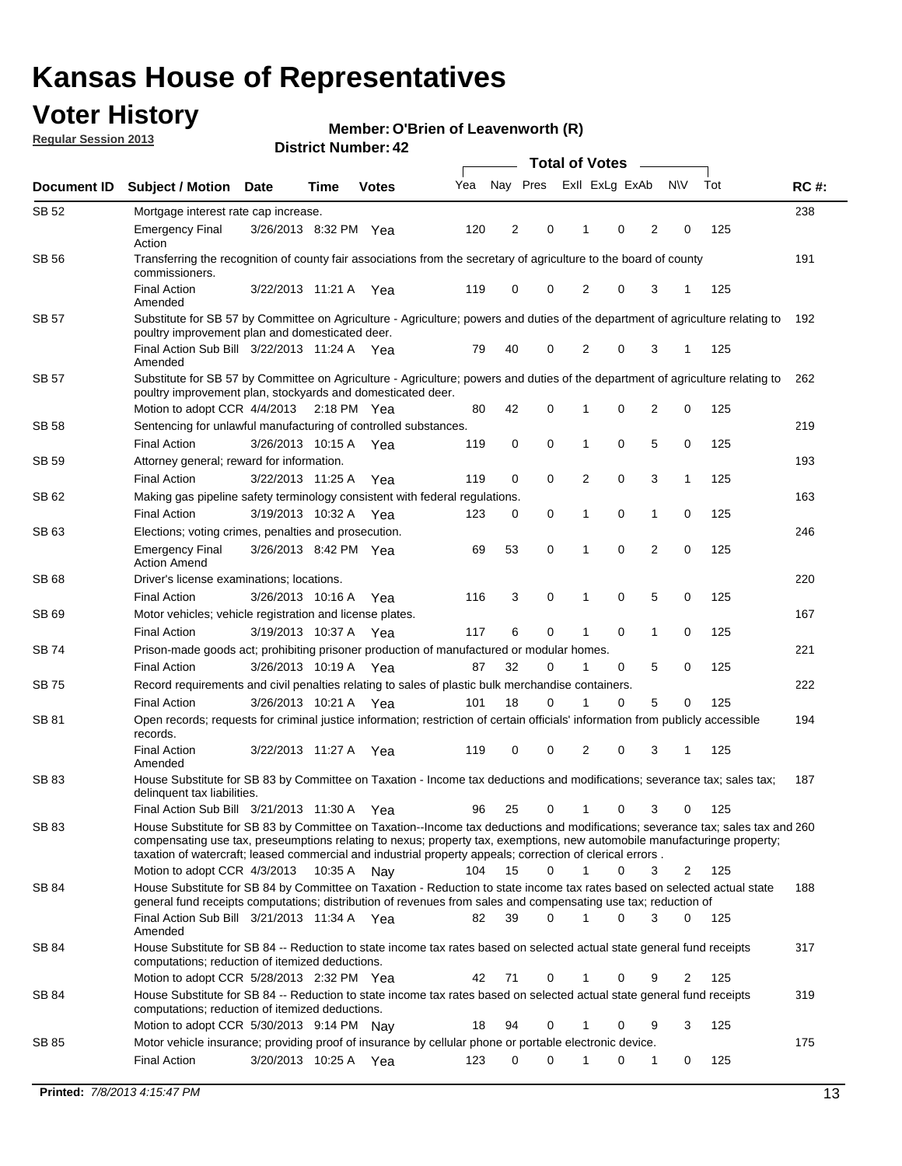## **Voter History**

**Member: O'Brien of Leavenworth (R)** 

**Regular Session 2013**

|              |                                                                                                                                                                                                                                            |                       |      |              |     | <b>Total of Votes</b> |          |                |             |                |                |     |             |  |
|--------------|--------------------------------------------------------------------------------------------------------------------------------------------------------------------------------------------------------------------------------------------|-----------------------|------|--------------|-----|-----------------------|----------|----------------|-------------|----------------|----------------|-----|-------------|--|
| Document ID  | <b>Subject / Motion</b>                                                                                                                                                                                                                    | <b>Date</b>           | Time | <b>Votes</b> | Yea | Nay Pres              |          | Exll ExLg ExAb |             |                | <b>NV</b>      | Tot | <b>RC#:</b> |  |
| SB 52        | Mortgage interest rate cap increase.                                                                                                                                                                                                       |                       |      |              |     |                       |          |                |             |                |                |     | 238         |  |
|              | <b>Emergency Final</b><br>Action                                                                                                                                                                                                           | 3/26/2013 8:32 PM Yea |      |              | 120 | 2                     | 0        |                | 0           | 2              | 0              | 125 |             |  |
| <b>SB 56</b> | Transferring the recognition of county fair associations from the secretary of agriculture to the board of county<br>commissioners.                                                                                                        |                       |      |              |     |                       |          |                |             |                |                |     | 191         |  |
|              | <b>Final Action</b><br>Amended                                                                                                                                                                                                             | 3/22/2013 11:21 A     |      | Yea          | 119 | 0                     | 0        | 2              | 0           | 3              | 1              | 125 |             |  |
| SB 57        | Substitute for SB 57 by Committee on Agriculture - Agriculture; powers and duties of the department of agriculture relating to<br>poultry improvement plan and domesticated deer.                                                          |                       |      |              |     |                       |          |                |             |                |                |     | 192         |  |
|              | Final Action Sub Bill 3/22/2013 11:24 A Yea<br>Amended                                                                                                                                                                                     |                       |      |              | 79  | 40                    | 0        | 2              | 0           | 3              | -1             | 125 |             |  |
| SB 57        | Substitute for SB 57 by Committee on Agriculture - Agriculture; powers and duties of the department of agriculture relating to<br>poultry improvement plan, stockyards and domesticated deer.                                              |                       |      |              |     |                       |          |                |             |                |                |     | 262         |  |
|              | Motion to adopt CCR 4/4/2013 2:18 PM Yea                                                                                                                                                                                                   |                       |      |              | 80  | 42                    | 0        | 1              | 0           | $\overline{2}$ | 0              | 125 |             |  |
| SB 58        | Sentencing for unlawful manufacturing of controlled substances.                                                                                                                                                                            |                       |      |              |     |                       |          |                |             |                |                |     | 219         |  |
|              | <b>Final Action</b>                                                                                                                                                                                                                        | 3/26/2013 10:15 A     |      | Yea          | 119 | 0                     | 0        | 1              | 0           | 5              | 0              | 125 |             |  |
| SB 59        | Attorney general; reward for information.                                                                                                                                                                                                  |                       |      |              |     |                       |          |                |             |                |                |     | 193         |  |
|              | <b>Final Action</b>                                                                                                                                                                                                                        | 3/22/2013 11:25 A     |      | Yea          | 119 | 0                     | 0        | 2              | 0           | 3              | 1              | 125 |             |  |
| SB 62        | Making gas pipeline safety terminology consistent with federal regulations.                                                                                                                                                                |                       |      |              |     |                       |          |                |             |                |                |     | 163         |  |
|              | <b>Final Action</b>                                                                                                                                                                                                                        | 3/19/2013 10:32 A Yea |      |              | 123 | 0                     | 0        | 1              | 0           | 1              | 0              | 125 |             |  |
| SB 63        | Elections; voting crimes, penalties and prosecution.<br><b>Emergency Final</b>                                                                                                                                                             | 3/26/2013 8:42 PM Yea |      |              | 69  | 53                    | 0        | 1              | $\mathbf 0$ | $\overline{2}$ | $\mathbf 0$    | 125 | 246         |  |
|              | <b>Action Amend</b>                                                                                                                                                                                                                        |                       |      |              |     |                       |          |                |             |                |                |     |             |  |
| <b>SB68</b>  | Driver's license examinations; locations.                                                                                                                                                                                                  |                       |      |              |     |                       |          |                |             |                |                |     | 220         |  |
|              | <b>Final Action</b>                                                                                                                                                                                                                        | 3/26/2013 10:16 A     |      | Yea          | 116 | 3                     | 0        | 1              | 0           | 5              | 0              | 125 |             |  |
| SB 69        | Motor vehicles; vehicle registration and license plates.                                                                                                                                                                                   |                       |      |              |     |                       |          |                |             |                |                |     | 167         |  |
|              | <b>Final Action</b>                                                                                                                                                                                                                        | 3/19/2013 10:37 A     |      | Yea          | 117 | 6                     | 0        | 1              | 0           | $\mathbf{1}$   | 0              | 125 |             |  |
| SB 74        | Prison-made goods act; prohibiting prisoner production of manufactured or modular homes.                                                                                                                                                   |                       |      |              |     |                       |          |                |             |                |                |     | 221         |  |
|              | <b>Final Action</b>                                                                                                                                                                                                                        | 3/26/2013 10:19 A     |      | Yea          | 87  | 32                    | 0        | 1              | 0           | 5              | 0              | 125 |             |  |
| SB 75        | Record requirements and civil penalties relating to sales of plastic bulk merchandise containers.                                                                                                                                          |                       |      |              |     |                       |          |                |             |                |                |     | 222         |  |
|              | <b>Final Action</b>                                                                                                                                                                                                                        | 3/26/2013 10:21 A     |      | Yea          | 101 | 18                    | 0        | 1              | 0           | 5              | 0              | 125 |             |  |
| SB 81        | Open records; requests for criminal justice information; restriction of certain officials' information from publicly accessible<br>records.                                                                                                |                       |      |              |     |                       |          |                |             |                |                |     | 194         |  |
|              | <b>Final Action</b><br>Amended                                                                                                                                                                                                             | 3/22/2013 11:27 A     |      | Yea          | 119 | 0                     | 0        | 2              | 0           | 3              | 1              | 125 |             |  |
| <b>SB83</b>  | House Substitute for SB 83 by Committee on Taxation - Income tax deductions and modifications; severance tax; sales tax;<br>delinquent tax liabilities.<br>Final Action Sub Bill 3/21/2013 11:30 A Yea                                     |                       |      |              | 96  | 25                    | 0        | $\mathbf{1}$   | 0           | 3              | 0              | 125 | 187         |  |
| SB 83        | House Substitute for SB 83 by Committee on Taxation--Income tax deductions and modifications; severance tax; sales tax and 260                                                                                                             |                       |      |              |     |                       |          |                |             |                |                |     |             |  |
|              | compensating use tax, preseumptions relating to nexus; property tax, exemptions, new automobile manufacturinge property;<br>taxation of watercraft; leased commercial and industrial property appeals; correction of clerical errors.      |                       |      |              |     |                       |          |                |             |                |                |     |             |  |
|              | Motion to adopt CCR 4/3/2013 10:35 A Nay                                                                                                                                                                                                   |                       |      |              | 104 | 15                    | 0        | $\mathbf{1}$   | 0           | 3              | 2              | 125 |             |  |
| SB 84        | House Substitute for SB 84 by Committee on Taxation - Reduction to state income tax rates based on selected actual state<br>general fund receipts computations; distribution of revenues from sales and compensating use tax; reduction of |                       |      |              |     |                       |          |                |             |                |                |     | 188         |  |
|              | Final Action Sub Bill 3/21/2013 11:34 A Yea<br>Amended                                                                                                                                                                                     |                       |      |              | 82  | 39                    | $\Omega$ | 1              | $\Omega$    | 3              | $\mathbf{0}$   | 125 |             |  |
| SB 84        | House Substitute for SB 84 -- Reduction to state income tax rates based on selected actual state general fund receipts<br>computations; reduction of itemized deductions.                                                                  |                       |      |              |     |                       |          |                |             |                |                |     | 317         |  |
|              | Motion to adopt CCR 5/28/2013 2:32 PM Yea                                                                                                                                                                                                  |                       |      |              | 42  | 71                    | 0        | 1              | 0           | 9              | $\overline{2}$ | 125 |             |  |
| SB 84        | House Substitute for SB 84 -- Reduction to state income tax rates based on selected actual state general fund receipts<br>computations; reduction of itemized deductions.                                                                  |                       |      |              |     |                       |          |                |             |                |                |     | 319         |  |
|              | Motion to adopt CCR 5/30/2013 9:14 PM Nay                                                                                                                                                                                                  |                       |      |              | 18  | 94                    | 0        | 1              | 0           | 9              | 3              | 125 |             |  |
| SB 85        | Motor vehicle insurance; providing proof of insurance by cellular phone or portable electronic device.<br><b>Final Action</b>                                                                                                              | 3/20/2013 10:25 A Yea |      |              | 123 | $\Omega$              | $\Omega$ |                | 0           | 1              | 0              | 125 | 175         |  |
|              |                                                                                                                                                                                                                                            |                       |      |              |     |                       |          |                |             |                |                |     |             |  |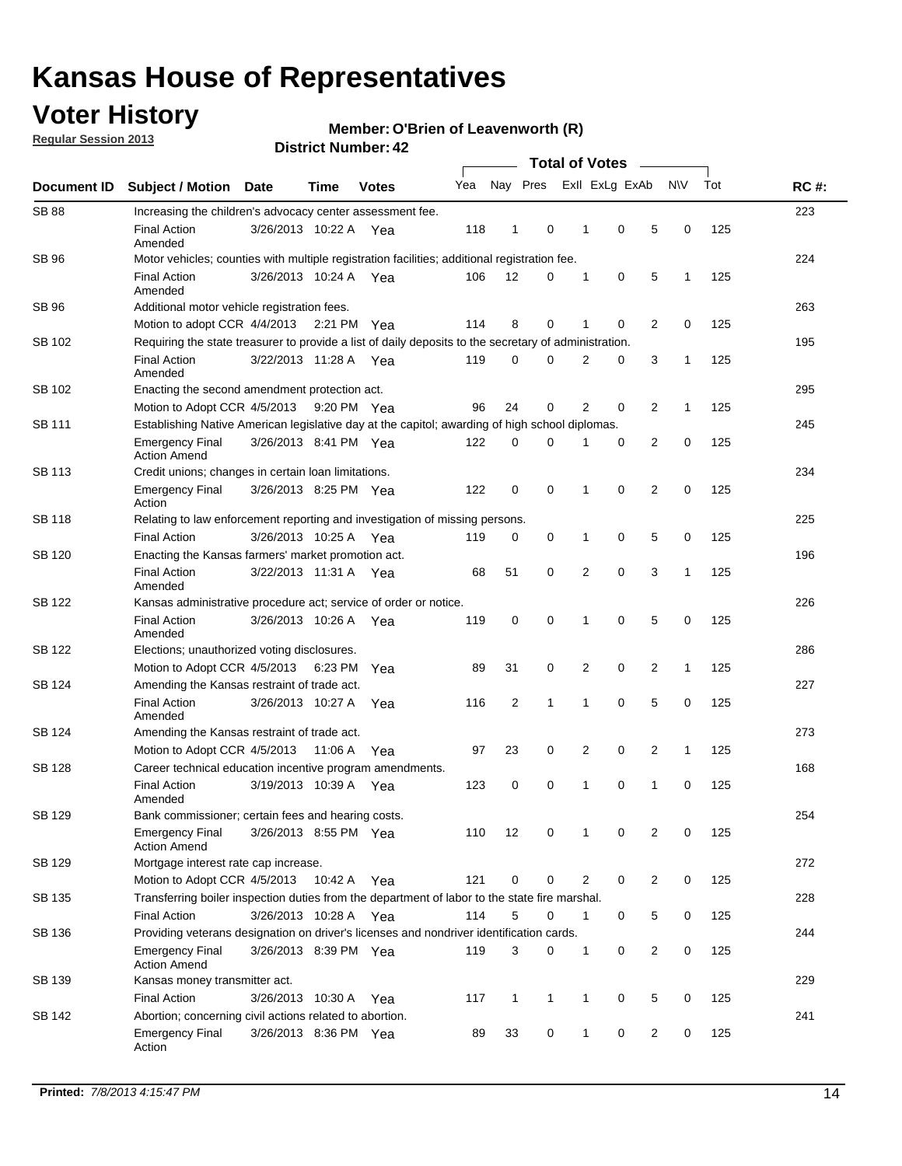## **Voter History**

**Regular Session 2013**

#### **Member: O'Brien of Leavenworth (R)**

| Document ID   |                                                                                                       |                                                                    |         |              |     |                |              |                |             |                |              |     |             |
|---------------|-------------------------------------------------------------------------------------------------------|--------------------------------------------------------------------|---------|--------------|-----|----------------|--------------|----------------|-------------|----------------|--------------|-----|-------------|
|               | <b>Subject / Motion Date</b>                                                                          |                                                                    | Time    | <b>Votes</b> | Yea | Nay Pres       |              | Exll ExLg ExAb |             |                | <b>NV</b>    | Tot | <b>RC#:</b> |
| <b>SB 88</b>  | Increasing the children's advocacy center assessment fee.                                             |                                                                    |         |              |     |                |              |                |             |                |              |     | 223         |
|               | <b>Final Action</b><br>Amended                                                                        | 3/26/2013 10:22 A                                                  |         | Yea          | 118 | 1              | 0            | 1              | 0           | 5              | 0            | 125 |             |
| <b>SB 96</b>  | Motor vehicles; counties with multiple registration facilities; additional registration fee.          |                                                                    |         |              |     |                |              |                |             |                |              |     | 224         |
|               | <b>Final Action</b><br>Amended                                                                        | 3/26/2013 10:24 A                                                  |         | Yea          | 106 | 12             | 0            | 1              | 0           | 5              | 1            | 125 |             |
| SB 96         | Additional motor vehicle registration fees.                                                           |                                                                    |         |              |     |                |              |                |             |                |              |     | 263         |
|               | Motion to adopt CCR 4/4/2013 2:21 PM                                                                  |                                                                    |         | Yea          | 114 | 8              | 0            |                | $\mathbf 0$ | $\overline{2}$ | 0            | 125 |             |
| SB 102        | Requiring the state treasurer to provide a list of daily deposits to the secretary of administration. |                                                                    |         |              |     |                |              |                |             |                |              |     | 195         |
|               | <b>Final Action</b><br>Amended                                                                        | 3/22/2013 11:28 A Yea                                              |         |              | 119 | 0              | $\Omega$     | $\overline{2}$ | 0           | 3              | 1            | 125 |             |
| SB 102        | Enacting the second amendment protection act.                                                         |                                                                    |         |              |     |                |              |                |             |                |              |     |             |
|               | Motion to Adopt CCR 4/5/2013                                                                          | 0<br>2<br>2<br>96<br>24<br>0<br>$\mathbf{1}$<br>125<br>9:20 PM Yea |         |              |     |                |              |                |             |                |              |     |             |
| SB 111        | Establishing Native American legislative day at the capitol; awarding of high school diplomas.        |                                                                    |         |              |     |                |              |                |             |                |              |     |             |
|               | <b>Emergency Final</b><br><b>Action Amend</b>                                                         | 3/26/2013 8:41 PM Yea                                              |         |              | 122 | 0              | 0            | 1              | 0           | 2              | 0            | 125 |             |
| <b>SB 113</b> | Credit unions; changes in certain loan limitations.                                                   |                                                                    |         |              |     |                |              |                |             |                |              |     | 234         |
|               | <b>Emergency Final</b><br>Action                                                                      | 3/26/2013 8:25 PM Yea                                              |         |              | 122 | 0              | 0            | 1              | 0           | 2              | 0            | 125 |             |
| <b>SB 118</b> | Relating to law enforcement reporting and investigation of missing persons.                           |                                                                    |         |              |     |                |              |                |             |                |              |     | 225         |
|               | <b>Final Action</b>                                                                                   | 3/26/2013 10:25 A Yea                                              |         |              | 119 | 0              | 0            | 1              | 0           | 5              | 0            | 125 |             |
| SB 120        | Enacting the Kansas farmers' market promotion act.                                                    |                                                                    |         |              |     |                |              |                |             |                |              |     | 196         |
|               | <b>Final Action</b><br>Amended                                                                        | 3/22/2013 11:31 A Yea                                              |         |              | 68  | 51             | 0            | 2              | $\mathbf 0$ | 3              | $\mathbf{1}$ | 125 |             |
| <b>SB 122</b> | Kansas administrative procedure act; service of order or notice.                                      |                                                                    |         |              |     |                |              |                |             |                |              |     | 226         |
|               | <b>Final Action</b><br>Amended                                                                        | 3/26/2013 10:26 A                                                  |         | Yea          | 119 | 0              | 0            | 1              | $\mathbf 0$ | 5              | 0            | 125 |             |
| SB 122        | Elections; unauthorized voting disclosures.                                                           |                                                                    |         |              |     |                |              |                |             |                |              |     |             |
|               | 2<br>0<br>2<br>Motion to Adopt CCR 4/5/2013<br>6:23 PM<br>89<br>31<br>0<br>$\mathbf{1}$<br>125<br>Yea |                                                                    |         |              |     |                |              |                |             |                |              |     |             |
| SB 124        | Amending the Kansas restraint of trade act.                                                           |                                                                    |         |              |     |                |              |                |             |                |              |     | 227         |
|               | <b>Final Action</b><br>Amended                                                                        | 3/26/2013 10:27 A                                                  |         | Yea          | 116 | $\overline{c}$ | $\mathbf{1}$ | 1              | 0           | 5              | 0            | 125 |             |
| SB 124        | Amending the Kansas restraint of trade act.                                                           |                                                                    |         |              |     |                |              |                |             |                |              |     | 273         |
|               | Motion to Adopt CCR 4/5/2013                                                                          |                                                                    | 11:06 A | Yea          | 97  | 23             | 0            | 2              | 0           | 2              | $\mathbf{1}$ | 125 |             |
| <b>SB 128</b> | Career technical education incentive program amendments.                                              |                                                                    |         |              |     |                |              |                |             |                |              |     | 168         |
|               | <b>Final Action</b><br>Amended                                                                        | 3/19/2013 10:39 A                                                  |         | Yea          | 123 | 0              | 0            | 1              | 0           | 1              | 0            | 125 |             |
| <b>SB 129</b> | Bank commissioner: certain fees and hearing costs.                                                    |                                                                    |         |              |     |                |              |                |             |                |              |     | 254         |
|               | Emergency Final<br><b>Action Amend</b>                                                                | 3/26/2013 8:55 PM Yea                                              |         |              | 110 | 12             | 0            | 1              | 0           | 2              | 0            | 125 |             |
| SB 129        | Mortgage interest rate cap increase.                                                                  |                                                                    |         |              |     |                |              |                |             |                |              |     | 272         |
|               | Motion to Adopt CCR 4/5/2013                                                                          |                                                                    | 10:42 A | Yea          | 121 | 0              | 0            | 2              | 0           | 2              | 0            | 125 |             |
| SB 135        | Transferring boiler inspection duties from the department of labor to the state fire marshal.         |                                                                    |         |              |     |                |              |                |             |                |              |     | 228         |
|               | <b>Final Action</b>                                                                                   | 3/26/2013 10:28 A Yea                                              |         |              | 114 | 5              | 0            | 1              | 0           | 5              | 0            | 125 |             |
| SB 136        | Providing veterans designation on driver's licenses and nondriver identification cards.               |                                                                    |         |              |     |                |              |                |             |                |              |     | 244         |
|               | <b>Emergency Final</b><br><b>Action Amend</b>                                                         | 3/26/2013 8:39 PM Yea                                              |         |              | 119 | 3              | 0            | 1              | 0           | 2              | 0            | 125 |             |
| SB 139        | Kansas money transmitter act.                                                                         |                                                                    |         |              |     |                |              |                |             |                |              |     | 229         |
|               | <b>Final Action</b>                                                                                   | 3/26/2013 10:30 A                                                  |         | Yea          | 117 | $\mathbf{1}$   | $\mathbf{1}$ | 1              | 0           | 5              | 0            | 125 |             |
| SB 142        | Abortion; concerning civil actions related to abortion.                                               |                                                                    |         |              |     |                |              |                |             |                |              |     | 241         |
|               | <b>Emergency Final</b><br>Action                                                                      | 3/26/2013 8:36 PM Yea                                              |         |              | 89  | 33             | 0            | 1              | 0           | 2              | 0            | 125 |             |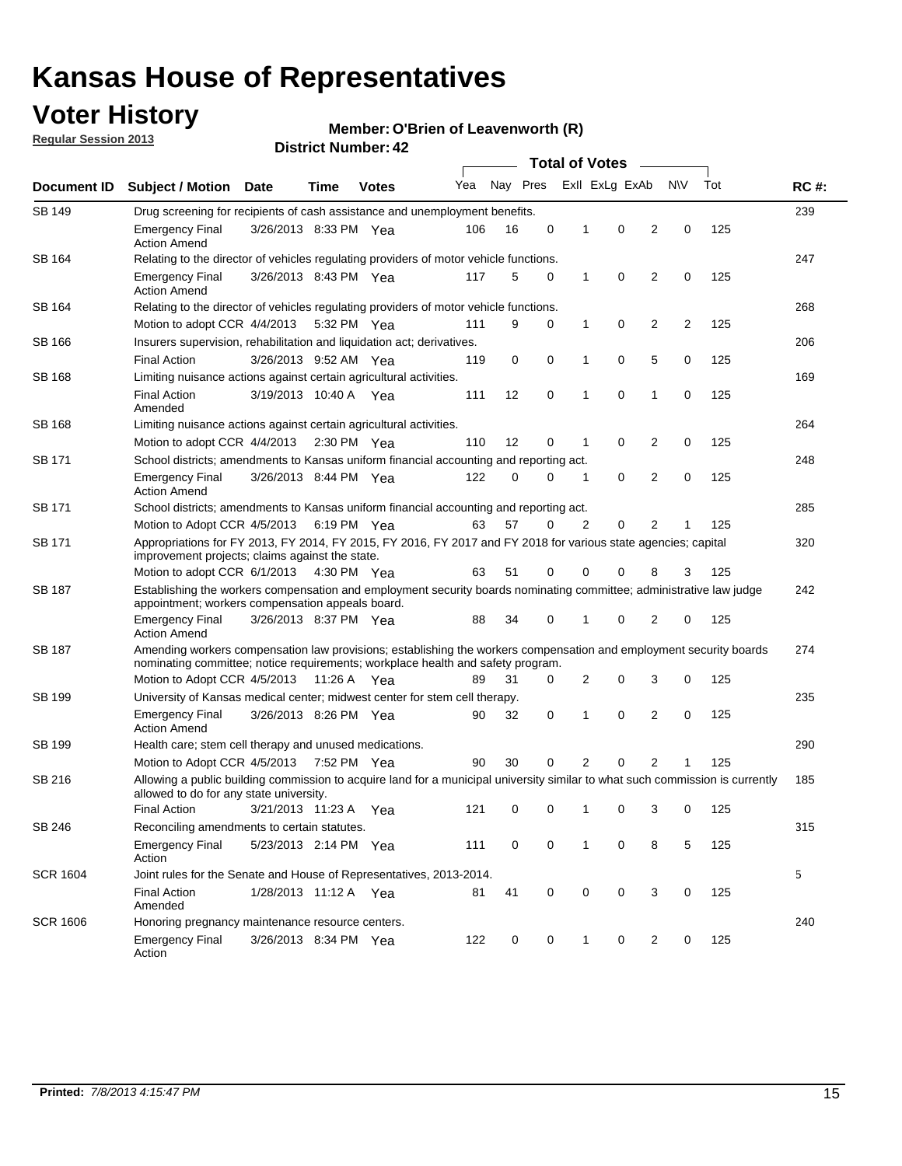## **Voter History**

**Regular Session 2013**

#### **Member: O'Brien of Leavenworth (R)**

| Document ID     |                                                                                                                                                                                                       |                                                                                                                                                                         |             |              | <b>Total of Votes</b> |          |   |   |                |                |           |     |             |
|-----------------|-------------------------------------------------------------------------------------------------------------------------------------------------------------------------------------------------------|-------------------------------------------------------------------------------------------------------------------------------------------------------------------------|-------------|--------------|-----------------------|----------|---|---|----------------|----------------|-----------|-----|-------------|
|                 | Subject / Motion Date                                                                                                                                                                                 |                                                                                                                                                                         | Time        | <b>Votes</b> | Yea                   | Nay Pres |   |   | Exll ExLg ExAb |                | <b>NV</b> | Tot | <b>RC#:</b> |
| <b>SB 149</b>   | Drug screening for recipients of cash assistance and unemployment benefits.                                                                                                                           |                                                                                                                                                                         |             |              |                       |          |   |   |                |                |           |     | 239         |
|                 | <b>Emergency Final</b><br><b>Action Amend</b>                                                                                                                                                         | 3/26/2013 8:33 PM Yea                                                                                                                                                   |             |              | 106                   | 16       | 0 | 1 | 0              | 2              | 0         | 125 |             |
| SB 164          | Relating to the director of vehicles regulating providers of motor vehicle functions.                                                                                                                 |                                                                                                                                                                         |             |              |                       |          |   |   |                |                |           |     | 247         |
|                 | <b>Emergency Final</b><br><b>Action Amend</b>                                                                                                                                                         | 3/26/2013 8:43 PM Yea                                                                                                                                                   |             |              | 117                   | 5        | 0 | 1 | 0              | 2              | 0         | 125 |             |
| SB 164          | Relating to the director of vehicles regulating providers of motor vehicle functions.                                                                                                                 |                                                                                                                                                                         |             |              |                       |          |   |   |                |                |           |     | 268         |
|                 | Motion to adopt CCR 4/4/2013                                                                                                                                                                          |                                                                                                                                                                         | 5:32 PM Yea |              | 111                   | 9        | 0 | 1 | 0              | 2              | 2         | 125 |             |
| SB 166          | Insurers supervision, rehabilitation and liquidation act; derivatives.                                                                                                                                |                                                                                                                                                                         |             |              |                       |          |   |   |                |                |           |     | 206         |
|                 | <b>Final Action</b>                                                                                                                                                                                   | 3/26/2013 9:52 AM Yea                                                                                                                                                   |             |              | 119                   | 0        | 0 | 1 | 0              | 5              | 0         | 125 |             |
| SB 168          | Limiting nuisance actions against certain agricultural activities.                                                                                                                                    |                                                                                                                                                                         |             |              |                       |          |   |   |                |                |           |     | 169         |
|                 | <b>Final Action</b><br>Amended                                                                                                                                                                        | 3/19/2013 10:40 A Yea                                                                                                                                                   |             |              | 111                   | 12       | 0 | 1 | 0              | 1              | 0         | 125 |             |
| SB 168          | Limiting nuisance actions against certain agricultural activities.                                                                                                                                    |                                                                                                                                                                         |             |              |                       |          |   |   |                |                |           |     | 264         |
|                 | Motion to adopt CCR 4/4/2013                                                                                                                                                                          |                                                                                                                                                                         | 2:30 PM Yea |              | 110                   | 12       | 0 | 1 | 0              | 2              | 0         | 125 |             |
| SB 171          | School districts; amendments to Kansas uniform financial accounting and reporting act.                                                                                                                |                                                                                                                                                                         |             |              |                       |          |   |   |                |                |           |     | 248         |
|                 | <b>Emergency Final</b><br><b>Action Amend</b>                                                                                                                                                         | 3/26/2013 8:44 PM Yea                                                                                                                                                   |             |              | 122                   | 0        | 0 | 1 | 0              | 2              | 0         | 125 |             |
| SB 171          | School districts; amendments to Kansas uniform financial accounting and reporting act.                                                                                                                |                                                                                                                                                                         |             |              |                       |          |   |   |                |                |           |     | 285         |
|                 | Motion to Adopt CCR 4/5/2013                                                                                                                                                                          |                                                                                                                                                                         | 6:19 PM Yea |              | 63                    | 57       | 0 | 2 | 0              | 2              |           | 125 |             |
| SB 171          | Appropriations for FY 2013, FY 2014, FY 2015, FY 2016, FY 2017 and FY 2018 for various state agencies; capital<br>improvement projects; claims against the state.                                     |                                                                                                                                                                         |             |              |                       |          |   |   |                |                |           |     | 320         |
|                 | Motion to adopt CCR 6/1/2013 4:30 PM Yea                                                                                                                                                              |                                                                                                                                                                         |             |              | 63                    | 51       | 0 | 0 | 0              | 8              | 3         | 125 |             |
| SB 187          |                                                                                                                                                                                                       | Establishing the workers compensation and employment security boards nominating committee; administrative law judge<br>appointment; workers compensation appeals board. |             |              |                       |          |   |   |                |                |           |     |             |
|                 | <b>Emergency Final</b><br><b>Action Amend</b>                                                                                                                                                         | 3/26/2013 8:37 PM Yea                                                                                                                                                   |             |              | 88                    | 34       | 0 | 1 | 0              | 2              | 0         | 125 |             |
| SB 187          | Amending workers compensation law provisions; establishing the workers compensation and employment security boards<br>nominating committee; notice requirements; workplace health and safety program. |                                                                                                                                                                         |             |              |                       |          |   |   |                |                |           |     | 274         |
|                 | Motion to Adopt CCR 4/5/2013 11:26 A Yea                                                                                                                                                              |                                                                                                                                                                         |             |              | 89                    | 31       | 0 | 2 | 0              | 3              | 0         | 125 |             |
| SB 199          | University of Kansas medical center; midwest center for stem cell therapy.                                                                                                                            |                                                                                                                                                                         |             |              |                       |          |   |   |                |                |           |     | 235         |
|                 | <b>Emergency Final</b><br><b>Action Amend</b>                                                                                                                                                         | 3/26/2013 8:26 PM Yea                                                                                                                                                   |             |              | 90                    | 32       | 0 | 1 | $\mathbf 0$    | 2              | 0         | 125 |             |
| SB 199          | Health care; stem cell therapy and unused medications.                                                                                                                                                |                                                                                                                                                                         |             |              |                       |          |   |   |                |                |           |     | 290         |
|                 | Motion to Adopt CCR 4/5/2013                                                                                                                                                                          |                                                                                                                                                                         | 7:52 PM Yea |              | 90                    | 30       | 0 | 2 | 0              | $\overline{2}$ | 1         | 125 |             |
| SB 216          | Allowing a public building commission to acquire land for a municipal university similar to what such commission is currently<br>allowed to do for any state university.                              |                                                                                                                                                                         |             |              |                       |          |   |   |                |                |           |     | 185         |
|                 | <b>Final Action</b>                                                                                                                                                                                   | 3/21/2013 11:23 A                                                                                                                                                       |             | Yea          | 121                   | 0        | 0 | 1 | 0              | 3              | 0         | 125 |             |
| SB 246          | Reconciling amendments to certain statutes.                                                                                                                                                           |                                                                                                                                                                         |             |              |                       |          |   |   |                |                |           |     | 315         |
|                 | <b>Emergency Final</b><br>Action                                                                                                                                                                      | 5/23/2013 2:14 PM Yea                                                                                                                                                   |             |              | 111                   | 0        | 0 | 1 | 0              | 8              | 5         | 125 |             |
| <b>SCR 1604</b> | Joint rules for the Senate and House of Representatives, 2013-2014.                                                                                                                                   |                                                                                                                                                                         |             |              |                       |          |   |   |                |                |           |     | 5           |
|                 | <b>Final Action</b><br>Amended                                                                                                                                                                        | 1/28/2013 11:12 A Yea                                                                                                                                                   |             |              | 81                    | 41       | 0 | 0 | 0              | 3              | 0         | 125 |             |
| <b>SCR 1606</b> | Honoring pregnancy maintenance resource centers.                                                                                                                                                      |                                                                                                                                                                         |             |              |                       |          |   |   |                |                |           |     | 240         |
|                 | <b>Emergency Final</b><br>Action                                                                                                                                                                      | 3/26/2013 8:34 PM Yea                                                                                                                                                   |             |              | 122                   | 0        | 0 | 1 | 0              | 2              | 0         | 125 |             |